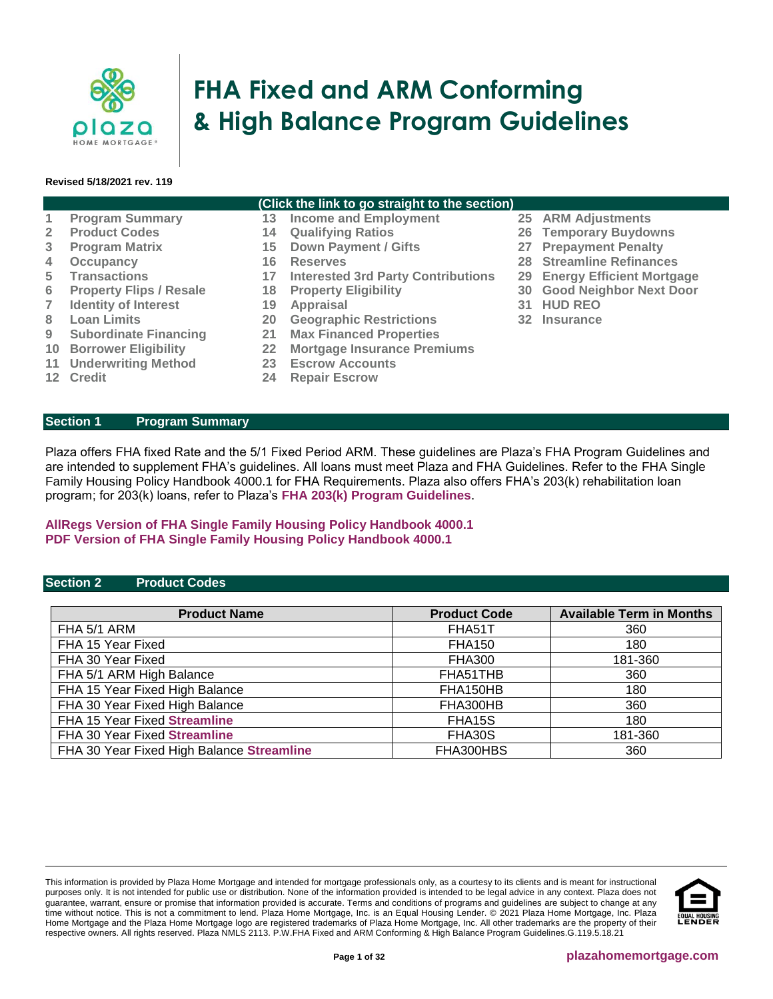

# **FHA Fixed and ARM Conforming & High Balance Program Guidelines**

#### **Revised 5/18/2021 rev. 119**

## **(Click the link to go straight to the section)**

- **1 [Program Summary](#page-0-0) 13 [Income and Employment](#page-12-0) 25 [ARM Adjustments](#page-21-0)**
- **2 [Product Codes](#page-0-1) 14 [Qualifying Ratios](#page-13-0) 26 [Temporary Buydowns](#page-21-1)**
- **3 [Program Matrix](#page-1-0) 15 [Down Payment / Gifts](#page-14-0) 27 [Prepayment Penalty](#page-22-0)**
- **4 [Occupancy](#page-2-0) 16 [Reserves](#page-16-0) 28 [Streamline Refinances](#page-22-1)**
- **5 [Transactions](#page-2-1) 17 [Interested 3rd Party Contributions](#page-16-1) 29 [Energy Efficient Mortgage](#page-25-0)**
- **6 [Property Flips / Resale](#page-5-0) 18 [Property Eligibility](#page-17-0) 30 [Good Neighbor Next Door](#page-26-0)**
- **7 [Identity of Interest](#page-6-0) 19 [Appraisal](#page-18-0)**
- **8 [Loan Limits](#page-6-1) 20 [Geographic Restrictions](#page-19-0) 32 [Insurance](#page-31-0)**
- **9 [Subordinate Financing](#page-6-2) 21 [Max Financed Properties](#page-20-0)**
- **10 [Borrower Eligibility](#page-7-0) 22 [Mortgage Insurance Premiums](#page-20-1)**
- **11 [Underwriting Method](#page-8-0) 23 [Escrow Accounts](#page-21-2)**
- 

**12 [Credit](#page-9-0) 24 [Repair Escrow](#page-21-3)** 

#### <span id="page-0-0"></span>**Section 1 Program Summary**

Plaza offers FHA fixed Rate and the 5/1 Fixed Period ARM. These guidelines are Plaza's FHA Program Guidelines and are intended to supplement FHA's guidelines. All loans must meet Plaza and FHA Guidelines. Refer to the FHA Single Family Housing Policy Handbook 4000.1 for FHA Requirements. Plaza also offers FHA's 203(k) rehabilitation loan program; for 203(k) loans, refer to Plaza's **[FHA 203\(k\) Program Guidelines](https://resourcecenter.plazahomemortgage.com/phmidocpublisher.nsf/All/CCB43F61B68C213307257D4800619988?OpenDocument)**.

# **[AllRegs Version of FHA Single Family Housing Policy Handbook 4000.1](http://www.allregs.com/tpl/public/fha_freesite.aspx) [PDF Version of FHA Single Family Housing Policy Handbook 4000.1](http://portal.hud.gov/hudportal/documents/huddoc?id=40001HSGH.pdf)**

#### <span id="page-0-1"></span>**Section 2 Product Codes**

| <b>Product Name</b>                       | <b>Product Code</b> | <b>Available Term in Months</b> |
|-------------------------------------------|---------------------|---------------------------------|
| FHA 5/1 ARM                               | FHA51T              | 360                             |
| FHA 15 Year Fixed                         | <b>FHA150</b>       | 180                             |
| FHA 30 Year Fixed                         | <b>FHA300</b>       | 181-360                         |
| FHA 5/1 ARM High Balance                  | FHA51THB            | 360                             |
| FHA 15 Year Fixed High Balance            | FHA150HB            | 180                             |
| FHA 30 Year Fixed High Balance            | FHA300HB            | 360                             |
| FHA 15 Year Fixed Streamline              | FHA15S              | 180                             |
| FHA 30 Year Fixed Streamline              | FHA30S              | 181-360                         |
| FHA 30 Year Fixed High Balance Streamline | FHA300HBS           | 360                             |

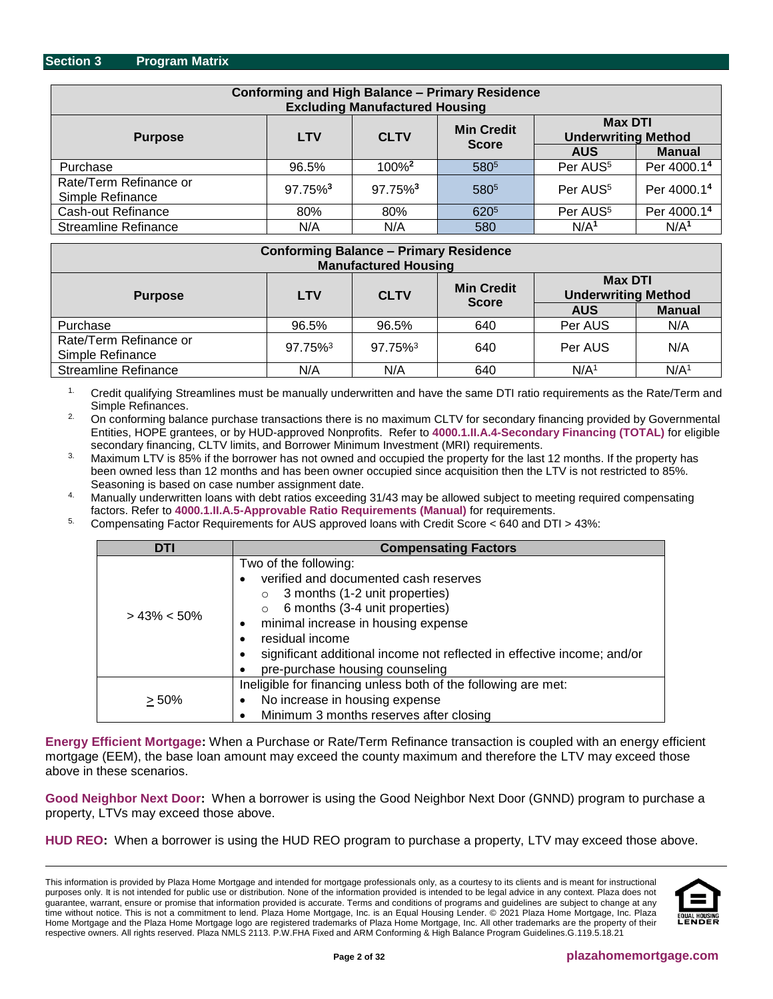<span id="page-1-0"></span>

| <b>Conforming and High Balance - Primary Residence</b><br><b>Excluding Manufactured Housing</b>                  |                     |                        |                  |                      |                         |  |  |  |  |
|------------------------------------------------------------------------------------------------------------------|---------------------|------------------------|------------------|----------------------|-------------------------|--|--|--|--|
| <b>Max DTI</b><br><b>Min Credit</b><br><b>Underwriting Method</b><br><b>CLTV</b><br><b>LTV</b><br><b>Purpose</b> |                     |                        |                  |                      |                         |  |  |  |  |
|                                                                                                                  |                     |                        | <b>Score</b>     | <b>AUS</b>           | <b>Manual</b>           |  |  |  |  |
| Purchase                                                                                                         | 96.5%               | $100\%$ <sup>2</sup>   | 5805             | Per AUS <sup>5</sup> | Per 4000.1 <sup>4</sup> |  |  |  |  |
| Rate/Term Refinance or<br>Simple Refinance                                                                       | 97.75% <sup>3</sup> | $97.75\%$ <sup>3</sup> | 5805             | Per AUS <sup>5</sup> | Per 4000.1 <sup>4</sup> |  |  |  |  |
| Cash-out Refinance                                                                                               | 80%                 | 80%                    | 620 <sup>5</sup> | Per AUS <sup>5</sup> | Per 4000.14             |  |  |  |  |
| <b>Streamline Refinance</b><br>N/A <sup>1</sup><br>N/A<br>N/A<br>580                                             |                     |                        |                  |                      |                         |  |  |  |  |

| <b>Conforming Balance - Primary Residence</b><br><b>Manufactured Housing</b>                                     |         |         |              |                  |                  |  |  |  |
|------------------------------------------------------------------------------------------------------------------|---------|---------|--------------|------------------|------------------|--|--|--|
| <b>Max DTI</b><br><b>Min Credit</b><br><b>Underwriting Method</b><br><b>CLTV</b><br><b>LTV</b><br><b>Purpose</b> |         |         |              |                  |                  |  |  |  |
|                                                                                                                  |         |         | <b>Score</b> | <b>AUS</b>       | <b>Manual</b>    |  |  |  |
| Purchase                                                                                                         | 96.5%   | 96.5%   | 640          | Per AUS          | N/A              |  |  |  |
| Rate/Term Refinance or<br>Simple Refinance                                                                       | 97.75%3 | 97.75%3 | 640          | Per AUS          | N/A              |  |  |  |
| <b>Streamline Refinance</b>                                                                                      | N/A     | N/A     | 640          | N/A <sup>1</sup> | N/A <sup>1</sup> |  |  |  |

<sup>1.</sup> Credit qualifying Streamlines must be manually underwritten and have the same DTI ratio requirements as the Rate/Term and Simple Refinances.

2. On conforming balance purchase transactions there is no maximum CLTV for secondary financing provided by Governmental Entities, HOPE grantees, or by HUD-approved Nonprofits. Refer to **[4000.1.II.A.4-Secondary Financing \(TOTAL\)](http://portal.hud.gov/hudportal/documents/huddoc?id=40001HSGH.pdf#page=235)** for eligible secondary financing, CLTV limits, and Borrower Minimum Investment (MRI) requirements.

Maximum LTV is 85% if the borrower has not owned and occupied the property for the last 12 months. If the property has been owned less than 12 months and has been owner occupied since acquisition then the LTV is not restricted to 85%. Seasoning is based on case number assignment date.

4. Manually underwritten loans with debt ratios exceeding 31/43 may be allowed subject to meeting required compensating factors. Refer to **[4000.1.II.A.5-Approvable Ratio Requirements \(Manual\)](http://portal.hud.gov/hudportal/documents/huddoc?id=40001HSGH.pdf#page=324)** for requirements.

5. Compensating Factor Requirements for AUS approved loans with Credit Score < 640 and DTI > 43%:

| <b>DTI</b>      | <b>Compensating Factors</b>                                                                                                                                                                                                                                                                                                                   |
|-----------------|-----------------------------------------------------------------------------------------------------------------------------------------------------------------------------------------------------------------------------------------------------------------------------------------------------------------------------------------------|
| $> 43\% < 50\%$ | Two of the following:<br>verified and documented cash reserves<br>3 months (1-2 unit properties)<br>$\circ$<br>6 months (3-4 unit properties)<br>$\circ$<br>minimal increase in housing expense<br>$\bullet$<br>residual income<br>significant additional income not reflected in effective income; and/or<br>pre-purchase housing counseling |
| $\geq 50\%$     | Ineligible for financing unless both of the following are met:<br>No increase in housing expense<br>Minimum 3 months reserves after closing                                                                                                                                                                                                   |

**[Energy Efficient Mortgage:](#page-25-0)** When a Purchase or Rate/Term Refinance transaction is coupled with an energy efficient mortgage (EEM), the base loan amount may exceed the county maximum and therefore the LTV may exceed those above in these scenarios.

**[Good Neighbor Next Door:](#page-25-1)** When a borrower is using the Good Neighbor Next Door (GNND) program to purchase a property, LTVs may exceed those above.

**[HUD REO:](#page-26-1)** When a borrower is using the HUD REO program to purchase a property, LTV may exceed those above.

This information is provided by Plaza Home Mortgage and intended for mortgage professionals only, as a courtesy to its clients and is meant for instructional purposes only. It is not intended for public use or distribution. None of the information provided is intended to be legal advice in any context. Plaza does not guarantee, warrant, ensure or promise that information provided is accurate. Terms and conditions of programs and guidelines are subject to change at any time without notice. This is not a commitment to lend. Plaza Home Mortgage, Inc. is an Equal Housing Lender. © 2021 Plaza Home Mortgage, Inc. Plaza Home Mortgage and the Plaza Home Mortgage logo are registered trademarks of Plaza Home Mortgage, Inc. All other trademarks are the property of their respective owners. All rights reserved. Plaza NMLS 2113. P.W.FHA Fixed and ARM Conforming & High Balance Program Guidelines.G.119.5.18.21

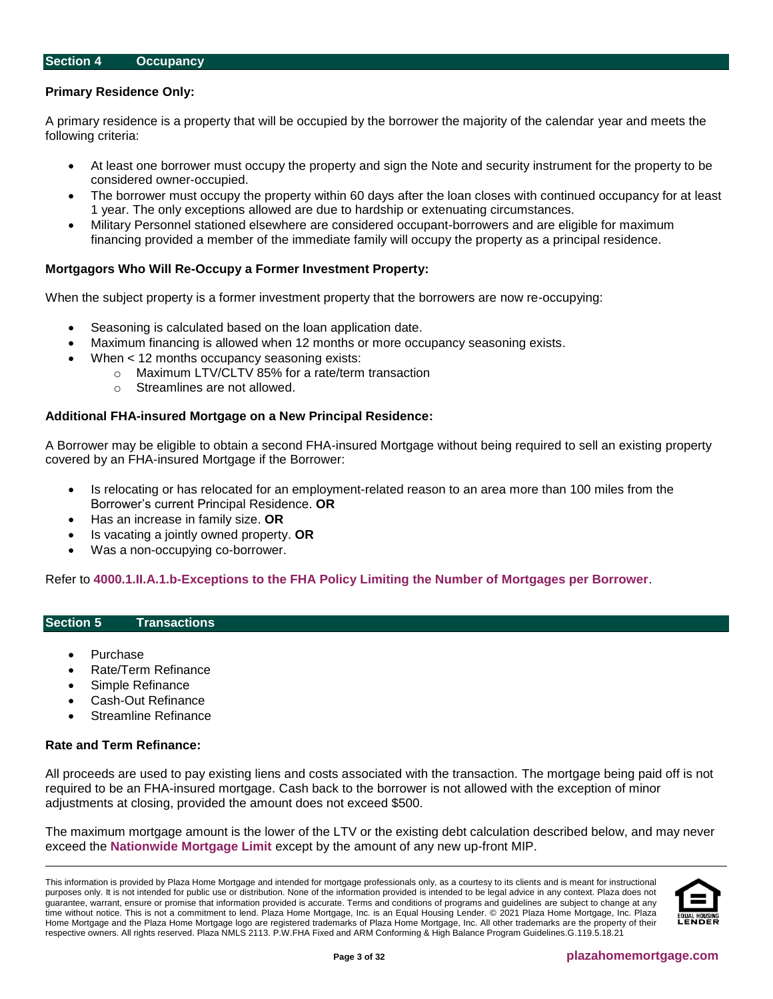#### <span id="page-2-0"></span>**Section 4 Occupancy**

#### **Primary Residence Only:**

A primary residence is a property that will be occupied by the borrower the majority of the calendar year and meets the following criteria:

- At least one borrower must occupy the property and sign the Note and security instrument for the property to be considered owner-occupied.
- The borrower must occupy the property within 60 days after the loan closes with continued occupancy for at least 1 year. The only exceptions allowed are due to hardship or extenuating circumstances.
- Military Personnel stationed elsewhere are considered occupant-borrowers and are eligible for maximum financing provided a member of the immediate family will occupy the property as a principal residence.

#### **Mortgagors Who Will Re-Occupy a Former Investment Property:**

When the subject property is a former investment property that the borrowers are now re-occupying:

- Seasoning is calculated based on the loan application date.
- Maximum financing is allowed when 12 months or more occupancy seasoning exists.
- When < 12 months occupancy seasoning exists:
	- o Maximum LTV/CLTV 85% for a rate/term transaction
	- o Streamlines are not allowed.

#### **Additional FHA-insured Mortgage on a New Principal Residence:**

A Borrower may be eligible to obtain a second FHA-insured Mortgage without being required to sell an existing property covered by an FHA-insured Mortgage if the Borrower:

- Is relocating or has relocated for an employment-related reason to an area more than 100 miles from the Borrower's current Principal Residence. **OR**
- Has an increase in family size. **OR**
- Is vacating a jointly owned property. **OR**
- Was a non-occupying co-borrower.

Refer to **[4000.1.II.A.1.b-Exceptions to the FHA Policy Limiting the Number of Mortgages per Borrower](http://portal.hud.gov/hudportal/documents/huddoc?id=40001HSGH.pdf#page=148)**.

## <span id="page-2-1"></span>**Section 5 Transactions**

- Purchase
- Rate/Term Refinance
- Simple Refinance
- Cash-Out Refinance
- Streamline Refinance

#### **Rate and Term Refinance:**

All proceeds are used to pay existing liens and costs associated with the transaction. The mortgage being paid off is not required to be an FHA-insured mortgage. Cash back to the borrower is not allowed with the exception of minor adjustments at closing, provided the amount does not exceed \$500.

The maximum mortgage amount is the lower of the LTV or the existing debt calculation described below, and may never exceed the **[Nationwide Mortgage Limit](https://entp.hud.gov/idapp/html/hicostlook.cfm)** except by the amount of any new up-front MIP.

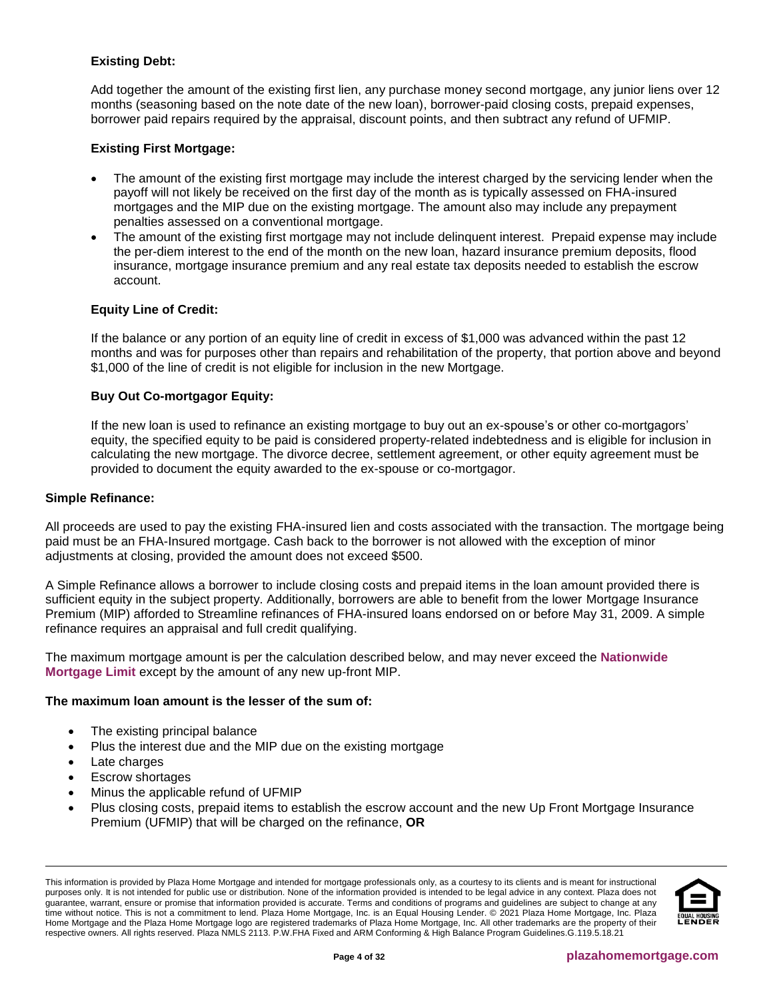# **Existing Debt:**

Add together the amount of the existing first lien, any purchase money second mortgage, any junior liens over 12 months (seasoning based on the note date of the new loan), borrower-paid closing costs, prepaid expenses, borrower paid repairs required by the appraisal, discount points, and then subtract any refund of UFMIP.

# **Existing First Mortgage:**

- The amount of the existing first mortgage may include the interest charged by the servicing lender when the payoff will not likely be received on the first day of the month as is typically assessed on FHA-insured mortgages and the MIP due on the existing mortgage. The amount also may include any prepayment penalties assessed on a conventional mortgage.
- The amount of the existing first mortgage may not include delinquent interest. Prepaid expense may include the per-diem interest to the end of the month on the new loan, hazard insurance premium deposits, flood insurance, mortgage insurance premium and any real estate tax deposits needed to establish the escrow account.

# **Equity Line of Credit:**

If the balance or any portion of an equity line of credit in excess of \$1,000 was advanced within the past 12 months and was for purposes other than repairs and rehabilitation of the property, that portion above and beyond \$1,000 of the line of credit is not eligible for inclusion in the new Mortgage.

#### **Buy Out Co-mortgagor Equity:**

If the new loan is used to refinance an existing mortgage to buy out an ex-spouse's or other co-mortgagors' equity, the specified equity to be paid is considered property-related indebtedness and is eligible for inclusion in calculating the new mortgage. The divorce decree, settlement agreement, or other equity agreement must be provided to document the equity awarded to the ex-spouse or co-mortgagor.

#### **Simple Refinance:**

All proceeds are used to pay the existing FHA-insured lien and costs associated with the transaction. The mortgage being paid must be an FHA-Insured mortgage. Cash back to the borrower is not allowed with the exception of minor adjustments at closing, provided the amount does not exceed \$500.

A Simple Refinance allows a borrower to include closing costs and prepaid items in the loan amount provided there is sufficient equity in the subject property. Additionally, borrowers are able to benefit from the lower Mortgage Insurance Premium (MIP) afforded to Streamline refinances of FHA-insured loans endorsed on or before May 31, 2009. A simple refinance requires an appraisal and full credit qualifying.

The maximum mortgage amount is per the calculation described below, and may never exceed the **[Nationwide](https://entp.hud.gov/idapp/html/hicostlook.cfm)  [Mortgage Limit](https://entp.hud.gov/idapp/html/hicostlook.cfm)** except by the amount of any new up-front MIP.

#### **The maximum loan amount is the lesser of the sum of:**

- The existing principal balance
- Plus the interest due and the MIP due on the existing mortgage
- Late charges
- Escrow shortages
- Minus the applicable refund of UFMIP
- Plus closing costs, prepaid items to establish the escrow account and the new Up Front Mortgage Insurance Premium (UFMIP) that will be charged on the refinance, **OR**

This information is provided by Plaza Home Mortgage and intended for mortgage professionals only, as a courtesy to its clients and is meant for instructional purposes only. It is not intended for public use or distribution. None of the information provided is intended to be legal advice in any context. Plaza does not guarantee, warrant, ensure or promise that information provided is accurate. Terms and conditions of programs and guidelines are subject to change at any time without notice. This is not a commitment to lend. Plaza Home Mortgage, Inc. is an Equal Housing Lender. © 2021 Plaza Home Mortgage, Inc. Plaza Home Mortgage and the Plaza Home Mortgage logo are registered trademarks of Plaza Home Mortgage, Inc. All other trademarks are the property of their respective owners. All rights reserved. Plaza NMLS 2113. P.W.FHA Fixed and ARM Conforming & High Balance Program Guidelines.G.119.5.18.21

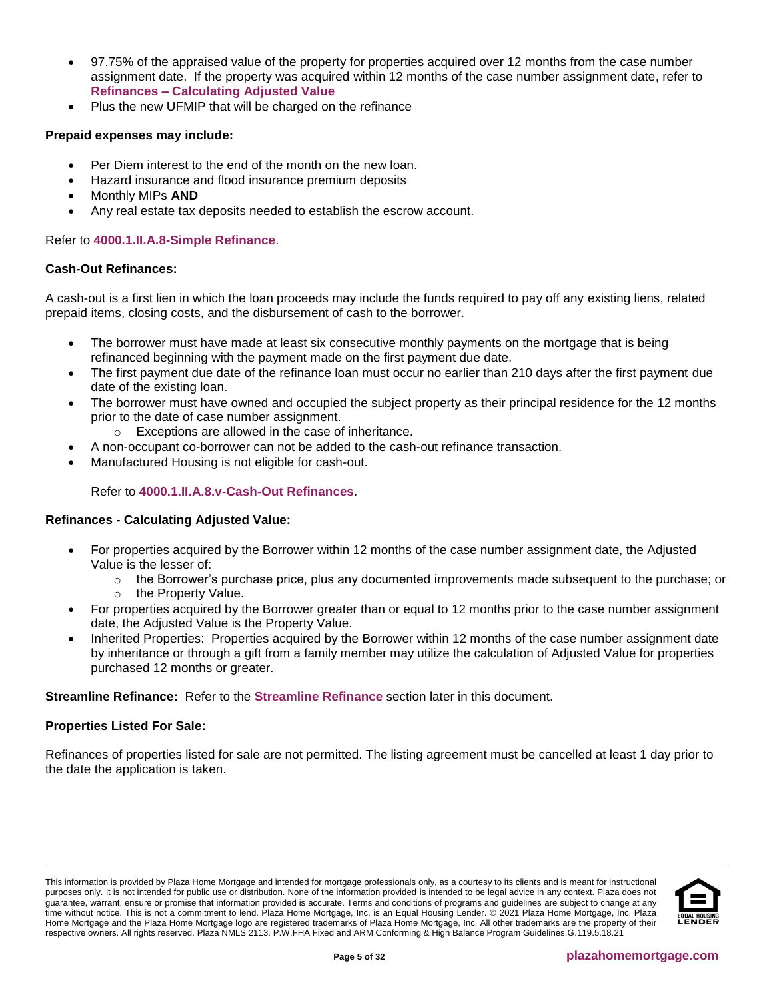- 97.75% of the appraised value of the property for properties acquired over 12 months from the case number assignment date. If the property was acquired within 12 months of the case number assignment date, refer to **Refinances – [Calculating Adjusted Value](#page-4-0)**
- Plus the new UFMIP that will be charged on the refinance

# **Prepaid expenses may include:**

- Per Diem interest to the end of the month on the new loan.
- Hazard insurance and flood insurance premium deposits
- Monthly MIPs **AND**
- Any real estate tax deposits needed to establish the escrow account.

## Refer to **[4000.1.II.A.8-Simple Refinance](http://portal.hud.gov/hudportal/documents/huddoc?id=40001HSGH.pdf#page=413)**.

#### **Cash-Out Refinances:**

A cash-out is a first lien in which the loan proceeds may include the funds required to pay off any existing liens, related prepaid items, closing costs, and the disbursement of cash to the borrower.

- The borrower must have made at least six consecutive monthly payments on the mortgage that is being refinanced beginning with the payment made on the first payment due date.
- The first payment due date of the refinance loan must occur no earlier than 210 days after the first payment due date of the existing loan.
- The borrower must have owned and occupied the subject property as their principal residence for the 12 months prior to the date of case number assignment.
	- o Exceptions are allowed in the case of inheritance.
- A non-occupant co-borrower can not be added to the cash-out refinance transaction.
- Manufactured Housing is not eligible for cash-out.

# Refer to **[4000.1.II.A.8.v-Cash-Out Refinances](http://portal.hud.gov/hudportal/documents/huddoc?id=40001HSGH.pdf#page=408)**.

#### <span id="page-4-0"></span>**Refinances - Calculating Adjusted Value:**

- For properties acquired by the Borrower within 12 months of the case number assignment date, the Adjusted Value is the lesser of:
	- $\circ$  the Borrower's purchase price, plus any documented improvements made subsequent to the purchase; or
	- o the Property Value.
- For properties acquired by the Borrower greater than or equal to 12 months prior to the case number assignment date, the Adjusted Value is the Property Value.
- Inherited Properties: Properties acquired by the Borrower within 12 months of the case number assignment date by inheritance or through a gift from a family member may utilize the calculation of Adjusted Value for properties purchased 12 months or greater.

#### **Streamline Refinance:** Refer to the **[Streamline Refinance](#page-22-1)** section later in this document.

#### **Properties Listed For Sale:**

Refinances of properties listed for sale are not permitted. The listing agreement must be cancelled at least 1 day prior to the date the application is taken.



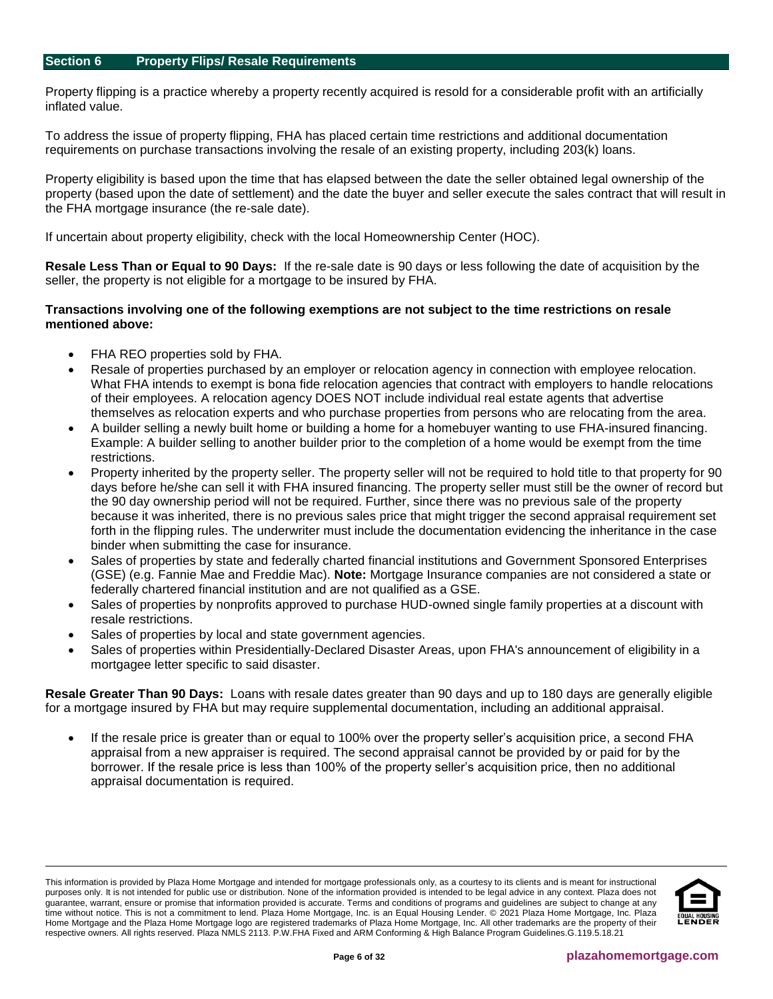<span id="page-5-0"></span>Property flipping is a practice whereby a property recently acquired is resold for a considerable profit with an artificially inflated value.

To address the issue of property flipping, FHA has placed certain time restrictions and additional documentation requirements on purchase transactions involving the resale of an existing property, including 203(k) loans.

Property eligibility is based upon the time that has elapsed between the date the seller obtained legal ownership of the property (based upon the date of settlement) and the date the buyer and seller execute the sales contract that will result in the FHA mortgage insurance (the re-sale date).

If uncertain about property eligibility, check with the local Homeownership Center (HOC).

**Resale Less Than or Equal to 90 Days:** If the re-sale date is 90 days or less following the date of acquisition by the seller, the property is not eligible for a mortgage to be insured by FHA.

#### **Transactions involving one of the following exemptions are not subject to the time restrictions on resale mentioned above:**

- FHA REO properties sold by FHA.
- Resale of properties purchased by an employer or relocation agency in connection with employee relocation. What FHA intends to exempt is bona fide relocation agencies that contract with employers to handle relocations of their employees. A relocation agency DOES NOT include individual real estate agents that advertise themselves as relocation experts and who purchase properties from persons who are relocating from the area.
- A builder selling a newly built home or building a home for a homebuyer wanting to use FHA-insured financing. Example: A builder selling to another builder prior to the completion of a home would be exempt from the time restrictions.
- Property inherited by the property seller. The property seller will not be required to hold title to that property for 90 days before he/she can sell it with FHA insured financing. The property seller must still be the owner of record but the 90 day ownership period will not be required. Further, since there was no previous sale of the property because it was inherited, there is no previous sales price that might trigger the second appraisal requirement set forth in the flipping rules. The underwriter must include the documentation evidencing the inheritance in the case binder when submitting the case for insurance.
- Sales of properties by state and federally charted financial institutions and Government Sponsored Enterprises (GSE) (e.g. Fannie Mae and Freddie Mac). **Note:** Mortgage Insurance companies are not considered a state or federally chartered financial institution and are not qualified as a GSE.
- Sales of properties by nonprofits approved to purchase HUD-owned single family properties at a discount with resale restrictions.
- Sales of properties by local and state government agencies.
- Sales of properties within Presidentially-Declared Disaster Areas, upon FHA's announcement of eligibility in a mortgagee letter specific to said disaster.

**Resale Greater Than 90 Days:** Loans with resale dates greater than 90 days and up to 180 days are generally eligible for a mortgage insured by FHA but may require supplemental documentation, including an additional appraisal.

If the resale price is greater than or equal to 100% over the property seller's acquisition price, a second FHA appraisal from a new appraiser is required. The second appraisal cannot be provided by or paid for by the borrower. If the resale price is less than 100% of the property seller's acquisition price, then no additional appraisal documentation is required.

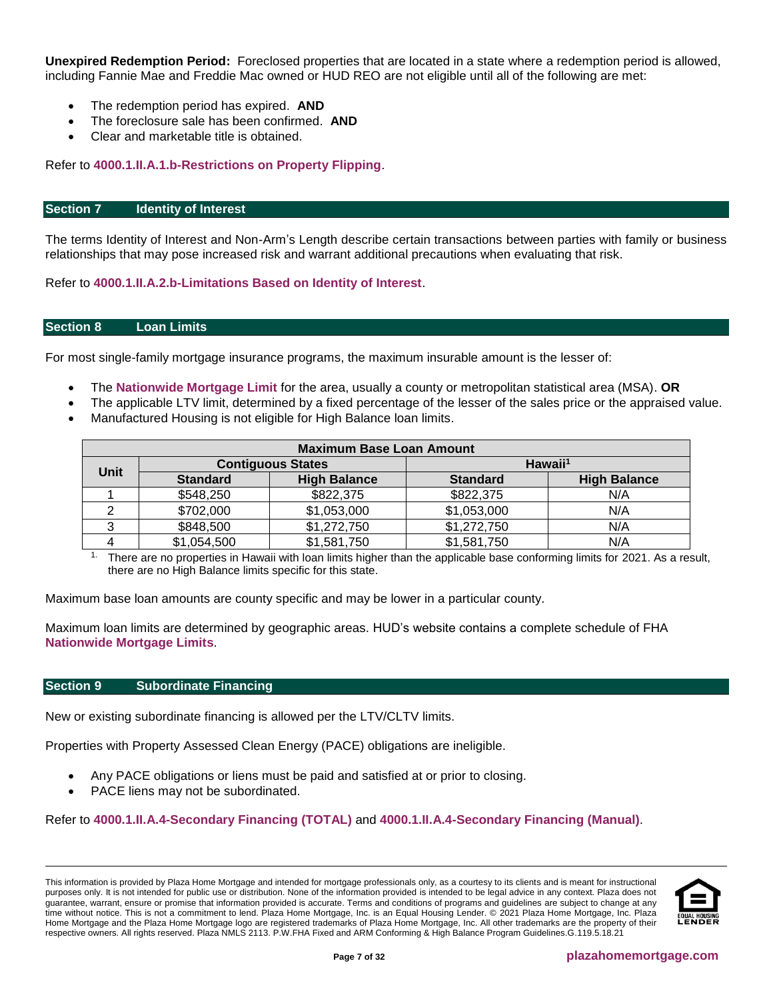**Unexpired Redemption Period:** Foreclosed properties that are located in a state where a redemption period is allowed, including Fannie Mae and Freddie Mac owned or HUD REO are not eligible until all of the following are met:

- The redemption period has expired. **AND**
- The foreclosure sale has been confirmed. **AND**
- Clear and marketable title is obtained.

#### Refer to **[4000.1.II.A.1.b-Restrictions on Property Flipping](http://portal.hud.gov/hudportal/documents/huddoc?id=40001HSGH.pdf#page=152)**.

#### <span id="page-6-0"></span>**Section 7 Identity of Interest**

The terms Identity of Interest and Non-Arm's Length describe certain transactions between parties with family or business relationships that may pose increased risk and warrant additional precautions when evaluating that risk.

Refer to **[4000.1.II.A.2.b-Limitations Based on Identity of Interest](http://portal.hud.gov/hudportal/documents/huddoc?id=40001HSGH.pdf#page=165)**.

#### <span id="page-6-1"></span>**Section 8 Loan Limits**

For most single-family mortgage insurance programs, the maximum insurable amount is the lesser of:

- The **[Nationwide Mortgage Limit](https://entp.hud.gov/idapp/html/hicostlook.cfm)** for the area, usually a county or metropolitan statistical area (MSA). **OR**
- The applicable LTV limit, determined by a fixed percentage of the lesser of the sales price or the appraised value.
- Manufactured Housing is not eligible for High Balance loan limits.

| <b>Maximum Base Loan Amount</b> |                 |                          |                     |                     |  |  |  |  |
|---------------------------------|-----------------|--------------------------|---------------------|---------------------|--|--|--|--|
|                                 |                 | <b>Contiguous States</b> | Hawaii <sup>1</sup> |                     |  |  |  |  |
| Unit                            | <b>Standard</b> | <b>High Balance</b>      | <b>Standard</b>     | <b>High Balance</b> |  |  |  |  |
|                                 | \$548,250       | \$822,375                | \$822,375           | N/A                 |  |  |  |  |
|                                 | \$702,000       | \$1,053,000              | \$1,053,000         | N/A                 |  |  |  |  |
|                                 | \$848,500       | \$1,272,750              | \$1,272,750         | N/A                 |  |  |  |  |
|                                 | \$1,054,500     | \$1,581,750              | \$1,581,750         | N/A                 |  |  |  |  |

There are no properties in Hawaii with loan limits higher than the applicable base conforming limits for 2021. As a result, there are no High Balance limits specific for this state.

Maximum base loan amounts are county specific and may be lower in a particular county.

Maximum loan limits are determined by geographic areas. HUD's website contains a complete schedule of FHA **[Nationwide Mortgage Limits](https://entp.hud.gov/idapp/html/hicostlook.cfm)**.

#### <span id="page-6-2"></span>**Section 9 Subordinate Financing**

New or existing subordinate financing is allowed per the LTV/CLTV limits.

Properties with Property Assessed Clean Energy (PACE) obligations are ineligible.

- Any PACE obligations or liens must be paid and satisfied at or prior to closing.
- PACE liens may not be subordinated.

Refer to **[4000.1.II.A.4-Secondary Financing \(TOTAL\)](http://portal.hud.gov/hudportal/documents/huddoc?id=40001HSGH.pdf#page=235)** and **[4000.1.II.A.4-Secondary Financing \(Manual\)](http://portal.hud.gov/hudportal/documents/huddoc?id=40001HSGH.pdf#page=308)**.

This information is provided by Plaza Home Mortgage and intended for mortgage professionals only, as a courtesy to its clients and is meant for instructional purposes only. It is not intended for public use or distribution. None of the information provided is intended to be legal advice in any context. Plaza does not guarantee, warrant, ensure or promise that information provided is accurate. Terms and conditions of programs and guidelines are subject to change at any time without notice. This is not a commitment to lend. Plaza Home Mortgage, Inc. is an Equal Housing Lender. © 2021 Plaza Home Mortgage, Inc. Plaza Home Mortgage and the Plaza Home Mortgage logo are registered trademarks of Plaza Home Mortgage, Inc. All other trademarks are the property of their respective owners. All rights reserved. Plaza NMLS 2113. P.W.FHA Fixed and ARM Conforming & High Balance Program Guidelines.G.119.5.18.21

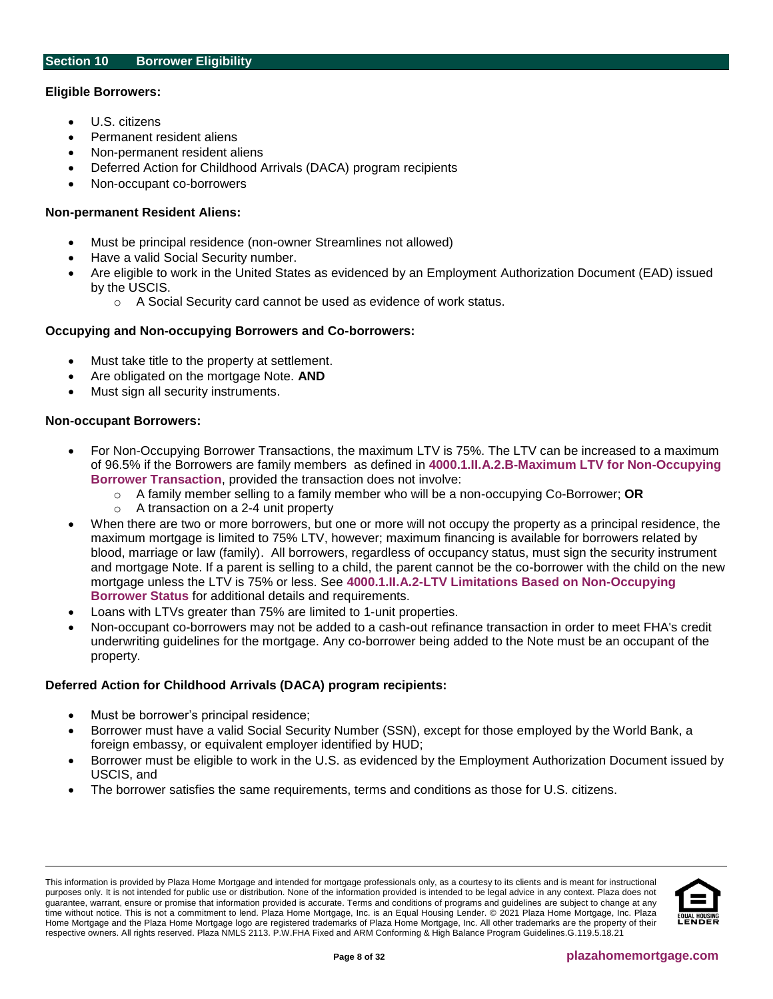#### <span id="page-7-0"></span>**Eligible Borrowers:**

- U.S. citizens
- Permanent resident aliens
- Non-permanent resident aliens
- Deferred Action for Childhood Arrivals (DACA) program recipients
- Non-occupant co-borrowers

## **Non-permanent Resident Aliens:**

- Must be principal residence (non-owner Streamlines not allowed)
- Have a valid Social Security number.
- Are eligible to work in the United States as evidenced by an Employment Authorization Document (EAD) issued by the USCIS.
	- o A Social Security card cannot be used as evidence of work status.

# **Occupying and Non-occupying Borrowers and Co-borrowers:**

- Must take title to the property at settlement.
- Are obligated on the mortgage Note. **AND**
- Must sign all security instruments.

#### **Non-occupant Borrowers:**

- For Non-Occupying Borrower Transactions, the maximum LTV is 75%. The LTV can be increased to a maximum of 96.5% if the Borrowers are family members as defined in **[4000.1.II.A.2.B-Maximum LTV for Non-Occupying](https://www.hud.gov/sites/documents/40001HSGH.PDF)  [Borrower Transaction](https://www.hud.gov/sites/documents/40001HSGH.PDF)**, provided the transaction does not involve:
	- o A family member selling to a family member who will be a non-occupying Co-Borrower; **OR**
	- o A transaction on a 2-4 unit property
- When there are two or more borrowers, but one or more will not occupy the property as a principal residence, the maximum mortgage is limited to 75% LTV, however; maximum financing is available for borrowers related by blood, marriage or law (family). All borrowers, regardless of occupancy status, must sign the security instrument and mortgage Note. If a parent is selling to a child, the parent cannot be the co-borrower with the child on the new mortgage unless the LTV is 75% or less. See **[4000.1.II.A.2-LTV Limitations Based on Non-Occupying](http://portal.hud.gov/hudportal/documents/huddoc?id=40001HSGH.pdf#page=166)  [Borrower Status](http://portal.hud.gov/hudportal/documents/huddoc?id=40001HSGH.pdf#page=166)** for additional details and requirements.
- Loans with LTVs greater than 75% are limited to 1-unit properties.
- Non-occupant co-borrowers may not be added to a cash-out refinance transaction in order to meet FHA's credit underwriting guidelines for the mortgage. Any co-borrower being added to the Note must be an occupant of the property.

#### **Deferred Action for Childhood Arrivals (DACA) program recipients:**

- Must be borrower's principal residence;
- Borrower must have a valid Social Security Number (SSN), except for those employed by the World Bank, a foreign embassy, or equivalent employer identified by HUD;
- Borrower must be eligible to work in the U.S. as evidenced by the Employment Authorization Document issued by USCIS, and
- The borrower satisfies the same requirements, terms and conditions as those for U.S. citizens.

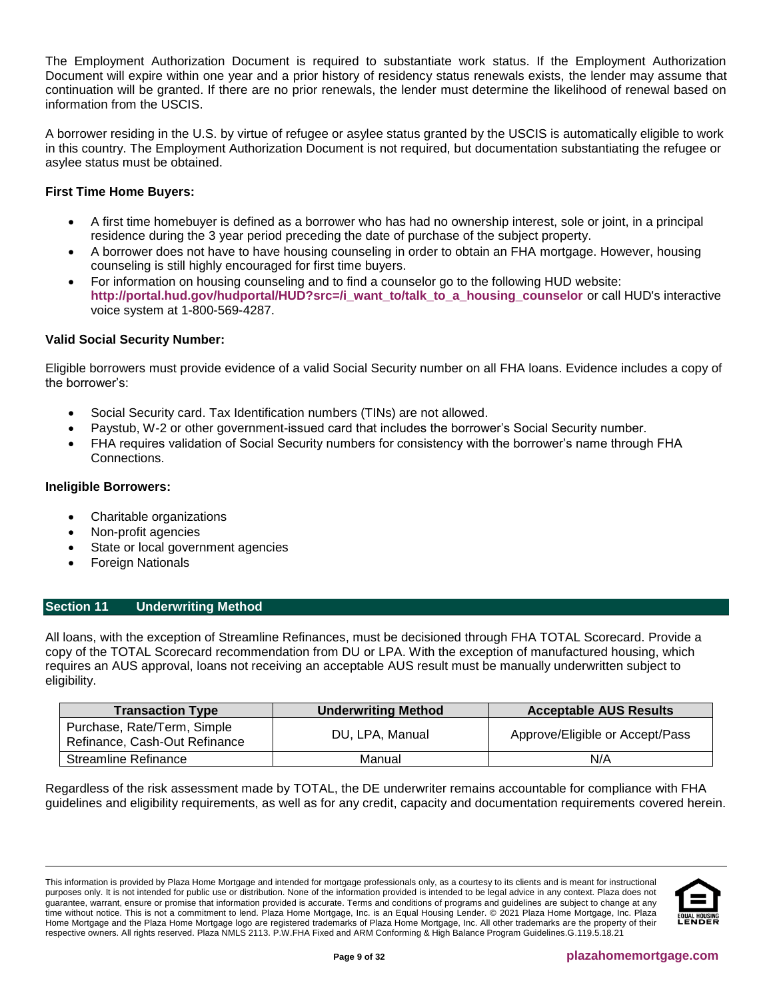The Employment Authorization Document is required to substantiate work status. If the Employment Authorization Document will expire within one year and a prior history of residency status renewals exists, the lender may assume that continuation will be granted. If there are no prior renewals, the lender must determine the likelihood of renewal based on information from the USCIS.

A borrower residing in the U.S. by virtue of refugee or asylee status granted by the USCIS is automatically eligible to work in this country. The Employment Authorization Document is not required, but documentation substantiating the refugee or asylee status must be obtained.

# **First Time Home Buyers:**

- A first time homebuyer is defined as a borrower who has had no ownership interest, sole or joint, in a principal residence during the 3 year period preceding the date of purchase of the subject property.
- A borrower does not have to have housing counseling in order to obtain an FHA mortgage. However, housing counseling is still highly encouraged for first time buyers.
- For information on housing counseling and to find a counselor go to the following HUD website: **[http://portal.hud.gov/hudportal/HUD?src=/i\\_want\\_to/talk\\_to\\_a\\_housing\\_counselor](http://portal.hud.gov/hudportal/HUD?src=/i_want_to/talk_to_a_housing_counselor)** or call HUD's interactive voice system at 1-800-569-4287.

# **Valid Social Security Number:**

Eligible borrowers must provide evidence of a valid Social Security number on all FHA loans. Evidence includes a copy of the borrower's:

- Social Security card. Tax Identification numbers (TINs) are not allowed.
- Paystub, W-2 or other government-issued card that includes the borrower's Social Security number.
- FHA requires validation of Social Security numbers for consistency with the borrower's name through FHA Connections.

# **Ineligible Borrowers:**

- Charitable organizations
- Non-profit agencies
- State or local government agencies
- Foreign Nationals

# <span id="page-8-0"></span>**Section 11 Underwriting Method**

All loans, with the exception of Streamline Refinances, must be decisioned through FHA TOTAL Scorecard. Provide a copy of the TOTAL Scorecard recommendation from DU or LPA. With the exception of manufactured housing, which requires an AUS approval, loans not receiving an acceptable AUS result must be manually underwritten subject to eligibility.

| <b>Transaction Type</b>                                      | <b>Underwriting Method</b> | <b>Acceptable AUS Results</b>   |  |  |
|--------------------------------------------------------------|----------------------------|---------------------------------|--|--|
| Purchase, Rate/Term, Simple<br>Refinance, Cash-Out Refinance | DU. LPA. Manual            | Approve/Eligible or Accept/Pass |  |  |
| Streamline Refinance                                         | Manual                     | N/A                             |  |  |

Regardless of the risk assessment made by TOTAL, the DE underwriter remains accountable for compliance with FHA guidelines and eligibility requirements, as well as for any credit, capacity and documentation requirements covered herein.

This information is provided by Plaza Home Mortgage and intended for mortgage professionals only, as a courtesy to its clients and is meant for instructional purposes only. It is not intended for public use or distribution. None of the information provided is intended to be legal advice in any context. Plaza does not guarantee, warrant, ensure or promise that information provided is accurate. Terms and conditions of programs and guidelines are subject to change at any time without notice. This is not a commitment to lend. Plaza Home Mortgage, Inc. is an Equal Housing Lender. © 2021 Plaza Home Mortgage, Inc. Plaza Home Mortgage and the Plaza Home Mortgage logo are registered trademarks of Plaza Home Mortgage, Inc. All other trademarks are the property of their respective owners. All rights reserved. Plaza NMLS 2113. P.W.FHA Fixed and ARM Conforming & High Balance Program Guidelines.G.119.5.18.21

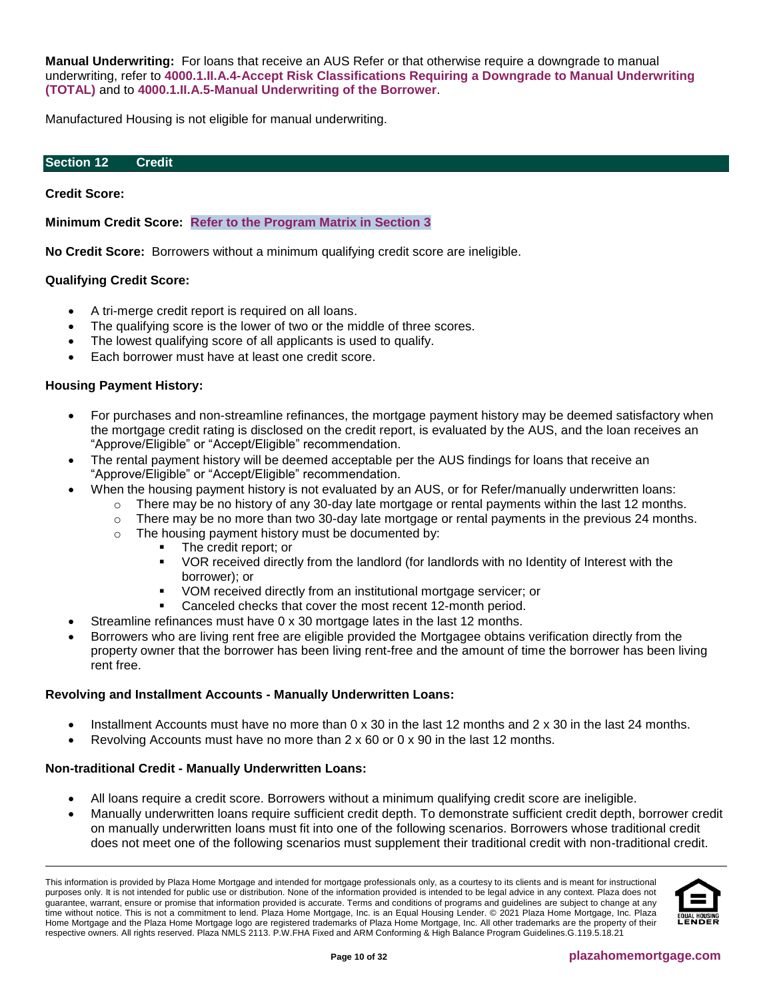**Manual Underwriting:** For loans that receive an AUS Refer or that otherwise require a downgrade to manual underwriting, refer to **[4000.1.II.A.4-Accept Risk Classifications Requiring a Downgrade to Manual Underwriting](http://portal.hud.gov/hudportal/documents/huddoc?id=40001HSGH.pdf#page=148)  [\(TOTAL\)](http://portal.hud.gov/hudportal/documents/huddoc?id=40001HSGH.pdf#page=148)** and to **[4000.1.II.A.5-Manual Underwriting of the Borrower](http://portal.hud.gov/hudportal/documents/huddoc?id=40001HSGH.pdf#page=250)**.

Manufactured Housing is not eligible for manual underwriting.

#### <span id="page-9-0"></span>**Section 12 Credit**

#### **Credit Score:**

**Minimum Credit Score: [Refer to the Program Matrix in Section 3](#page-1-0)**

**No Credit Score:** Borrowers without a minimum qualifying credit score are ineligible.

# **Qualifying Credit Score:**

- A tri-merge credit report is required on all loans.
- The qualifying score is the lower of two or the middle of three scores.
- The lowest qualifying score of all applicants is used to qualify.
- Each borrower must have at least one credit score.

# **Housing Payment History:**

- For purchases and non-streamline refinances, the mortgage payment history may be deemed satisfactory when the mortgage credit rating is disclosed on the credit report, is evaluated by the AUS, and the loan receives an "Approve/Eligible" or "Accept/Eligible" recommendation.
- The rental payment history will be deemed acceptable per the AUS findings for loans that receive an "Approve/Eligible" or "Accept/Eligible" recommendation.
- When the housing payment history is not evaluated by an AUS, or for Refer/manually underwritten loans:
	- $\circ$  There may be no history of any 30-day late mortgage or rental payments within the last 12 months.
	- $\circ$  There may be no more than two 30-day late mortgage or rental payments in the previous 24 months.
	- o The housing payment history must be documented by:
		- The credit report; or
		- VOR received directly from the landlord (for landlords with no Identity of Interest with the borrower); or
		- VOM received directly from an institutional mortgage servicer; or
		- Canceled checks that cover the most recent 12-month period.
- Streamline refinances must have 0 x 30 mortgage lates in the last 12 months.
- Borrowers who are living rent free are eligible provided the Mortgagee obtains verification directly from the property owner that the borrower has been living rent-free and the amount of time the borrower has been living rent free.

#### **Revolving and Installment Accounts - Manually Underwritten Loans:**

- Installment Accounts must have no more than 0 x 30 in the last 12 months and 2 x 30 in the last 24 months.
- Revolving Accounts must have no more than 2 x 60 or 0 x 90 in the last 12 months.

#### **Non-traditional Credit - Manually Underwritten Loans:**

- All loans require a credit score. Borrowers without a minimum qualifying credit score are ineligible.
- Manually underwritten loans require sufficient credit depth. To demonstrate sufficient credit depth, borrower credit on manually underwritten loans must fit into one of the following scenarios. Borrowers whose traditional credit does not meet one of the following scenarios must supplement their traditional credit with non-traditional credit.

This information is provided by Plaza Home Mortgage and intended for mortgage professionals only, as a courtesy to its clients and is meant for instructional purposes only. It is not intended for public use or distribution. None of the information provided is intended to be legal advice in any context. Plaza does not guarantee, warrant, ensure or promise that information provided is accurate. Terms and conditions of programs and guidelines are subject to change at any time without notice. This is not a commitment to lend. Plaza Home Mortgage, Inc. is an Equal Housing Lender. © 2021 Plaza Home Mortgage, Inc. Plaza Home Mortgage and the Plaza Home Mortgage logo are registered trademarks of Plaza Home Mortgage, Inc. All other trademarks are the property of their respective owners. All rights reserved. Plaza NMLS 2113. P.W.FHA Fixed and ARM Conforming & High Balance Program Guidelines.G.119.5.18.21

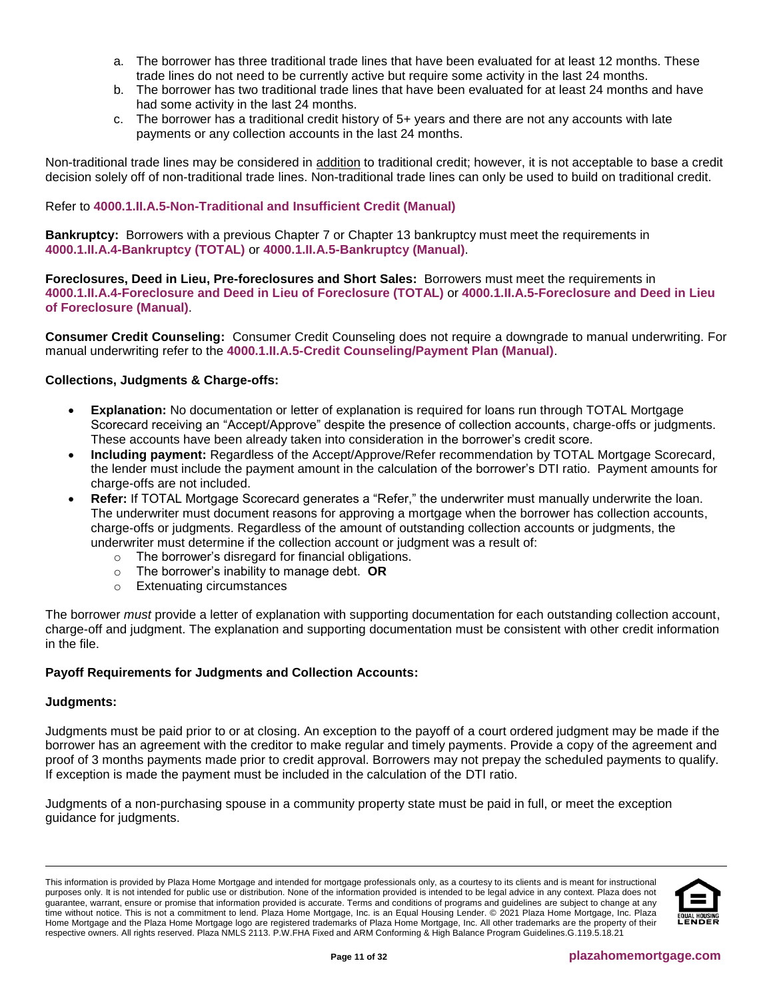- a. The borrower has three traditional trade lines that have been evaluated for at least 12 months. These trade lines do not need to be currently active but require some activity in the last 24 months.
- b. The borrower has two traditional trade lines that have been evaluated for at least 24 months and have had some activity in the last 24 months.
- c. The borrower has a traditional credit history of 5+ years and there are not any accounts with late payments or any collection accounts in the last 24 months.

Non-traditional trade lines may be considered in addition to traditional credit; however, it is not acceptable to base a credit decision solely off of non-traditional trade lines. Non-traditional trade lines can only be used to build on traditional credit.

# Refer to **[4000.1.II.A.5-Non-Traditional and Insufficient Credit \(Manual\)](http://portal.hud.gov/hudportal/documents/huddoc?id=40001HSGH.pdf#page=252)**

**Bankruptcy:** Borrowers with a previous Chapter 7 or Chapter 13 bankruptcy must meet the requirements in **[4000.1.II.A.4-Bankruptcy \(TOTAL\)](http://portal.hud.gov/hudportal/documents/huddoc?id=40001HSGH.pdf#page=187)** or **[4000.1.II.A.5-Bankruptcy \(Manual\)](http://portal.hud.gov/hudportal/documents/huddoc?id=40001HSGH.pdf#page=258)**.

**Foreclosures, Deed in Lieu, Pre-foreclosures and Short Sales:** Borrowers must meet the requirements in **[4000.1.II.A.4-Foreclosure and Deed in Lieu of Foreclosure](http://portal.hud.gov/hudportal/documents/huddoc?id=40001HSGH.pdf#page=188) (TOTAL)** or **[4000.1.II.A.5-Foreclosure and Deed in Lieu](http://portal.hud.gov/hudportal/documents/huddoc?id=40001HSGH.pdf#page=259)  [of Foreclosure](http://portal.hud.gov/hudportal/documents/huddoc?id=40001HSGH.pdf#page=259) (Manual)**.

**Consumer Credit Counseling:** Consumer Credit Counseling does not require a downgrade to manual underwriting. For manual underwriting refer to the **[4000.1.II.A.5-Credit Counseling/Payment Plan \(Manual\)](http://portal.hud.gov/hudportal/documents/huddoc?id=40001HSGH.pdf#page=261)**.

# **Collections, Judgments & Charge-offs:**

- **Explanation:** No documentation or letter of explanation is required for loans run through TOTAL Mortgage Scorecard receiving an "Accept/Approve" despite the presence of collection accounts, charge-offs or judgments. These accounts have been already taken into consideration in the borrower's credit score.
- **Including payment:** Regardless of the Accept/Approve/Refer recommendation by TOTAL Mortgage Scorecard, the lender must include the payment amount in the calculation of the borrower's DTI ratio. Payment amounts for charge-offs are not included.
- **Refer:** If TOTAL Mortgage Scorecard generates a "Refer," the underwriter must manually underwrite the loan. The underwriter must document reasons for approving a mortgage when the borrower has collection accounts, charge-offs or judgments. Regardless of the amount of outstanding collection accounts or judgments, the underwriter must determine if the collection account or judgment was a result of:
	- o The borrower's disregard for financial obligations.
	- o The borrower's inability to manage debt. **OR**
	- o Extenuating circumstances

The borrower *must* provide a letter of explanation with supporting documentation for each outstanding collection account, charge-off and judgment. The explanation and supporting documentation must be consistent with other credit information in the file.

#### **Payoff Requirements for Judgments and Collection Accounts:**

#### **Judgments:**

Judgments must be paid prior to or at closing. An exception to the payoff of a court ordered judgment may be made if the borrower has an agreement with the creditor to make regular and timely payments. Provide a copy of the agreement and proof of 3 months payments made prior to credit approval. Borrowers may not prepay the scheduled payments to qualify. If exception is made the payment must be included in the calculation of the DTI ratio.

Judgments of a non-purchasing spouse in a community property state must be paid in full, or meet the exception guidance for judgments.

This information is provided by Plaza Home Mortgage and intended for mortgage professionals only, as a courtesy to its clients and is meant for instructional purposes only. It is not intended for public use or distribution. None of the information provided is intended to be legal advice in any context. Plaza does not guarantee, warrant, ensure or promise that information provided is accurate. Terms and conditions of programs and guidelines are subject to change at any time without notice. This is not a commitment to lend. Plaza Home Mortgage, Inc. is an Equal Housing Lender. © 2021 Plaza Home Mortgage, Inc. Plaza Home Mortgage and the Plaza Home Mortgage logo are registered trademarks of Plaza Home Mortgage, Inc. All other trademarks are the property of their respective owners. All rights reserved. Plaza NMLS 2113. P.W.FHA Fixed and ARM Conforming & High Balance Program Guidelines.G.119.5.18.21

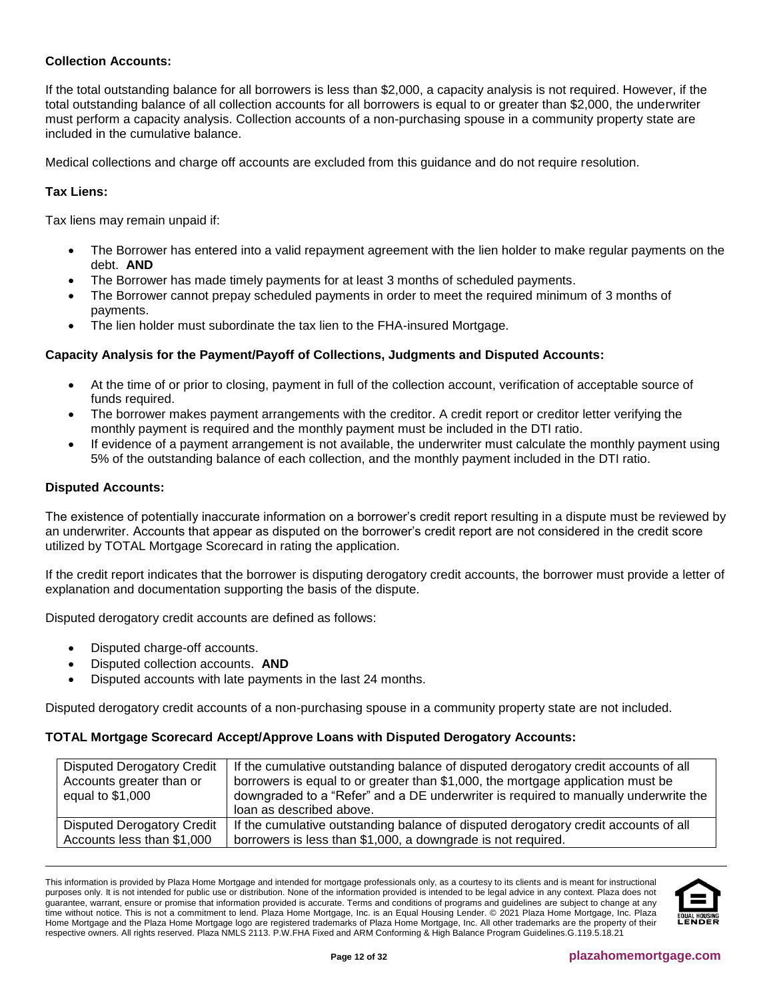# **Collection Accounts:**

If the total outstanding balance for all borrowers is less than \$2,000, a capacity analysis is not required. However, if the total outstanding balance of all collection accounts for all borrowers is equal to or greater than \$2,000, the underwriter must perform a capacity analysis. Collection accounts of a non-purchasing spouse in a community property state are included in the cumulative balance.

Medical collections and charge off accounts are excluded from this guidance and do not require resolution.

# **Tax Liens:**

Tax liens may remain unpaid if:

- The Borrower has entered into a valid repayment agreement with the lien holder to make regular payments on the debt. **AND**
- The Borrower has made timely payments for at least 3 months of scheduled payments.
- The Borrower cannot prepay scheduled payments in order to meet the required minimum of 3 months of payments.
- The lien holder must subordinate the tax lien to the FHA-insured Mortgage.

#### **Capacity Analysis for the Payment/Payoff of Collections, Judgments and Disputed Accounts:**

- At the time of or prior to closing, payment in full of the collection account, verification of acceptable source of funds required.
- The borrower makes payment arrangements with the creditor. A credit report or creditor letter verifying the monthly payment is required and the monthly payment must be included in the DTI ratio.
- If evidence of a payment arrangement is not available, the underwriter must calculate the monthly payment using 5% of the outstanding balance of each collection, and the monthly payment included in the DTI ratio.

#### **Disputed Accounts:**

The existence of potentially inaccurate information on a borrower's credit report resulting in a dispute must be reviewed by an underwriter. Accounts that appear as disputed on the borrower's credit report are not considered in the credit score utilized by TOTAL Mortgage Scorecard in rating the application.

If the credit report indicates that the borrower is disputing derogatory credit accounts, the borrower must provide a letter of explanation and documentation supporting the basis of the dispute.

Disputed derogatory credit accounts are defined as follows:

- Disputed charge-off accounts.
- Disputed collection accounts. **AND**
- Disputed accounts with late payments in the last 24 months.

Disputed derogatory credit accounts of a non-purchasing spouse in a community property state are not included.

#### **TOTAL Mortgage Scorecard Accept/Approve Loans with Disputed Derogatory Accounts:**

| <b>Disputed Derogatory Credit</b> | If the cumulative outstanding balance of disputed derogatory credit accounts of all |
|-----------------------------------|-------------------------------------------------------------------------------------|
| Accounts greater than or          | borrowers is equal to or greater than \$1,000, the mortgage application must be     |
| equal to $$1,000$                 | downgraded to a "Refer" and a DE underwriter is required to manually underwrite the |
|                                   | loan as described above.                                                            |
| <b>Disputed Derogatory Credit</b> | If the cumulative outstanding balance of disputed derogatory credit accounts of all |
| Accounts less than \$1,000        | borrowers is less than \$1,000, a downgrade is not required.                        |

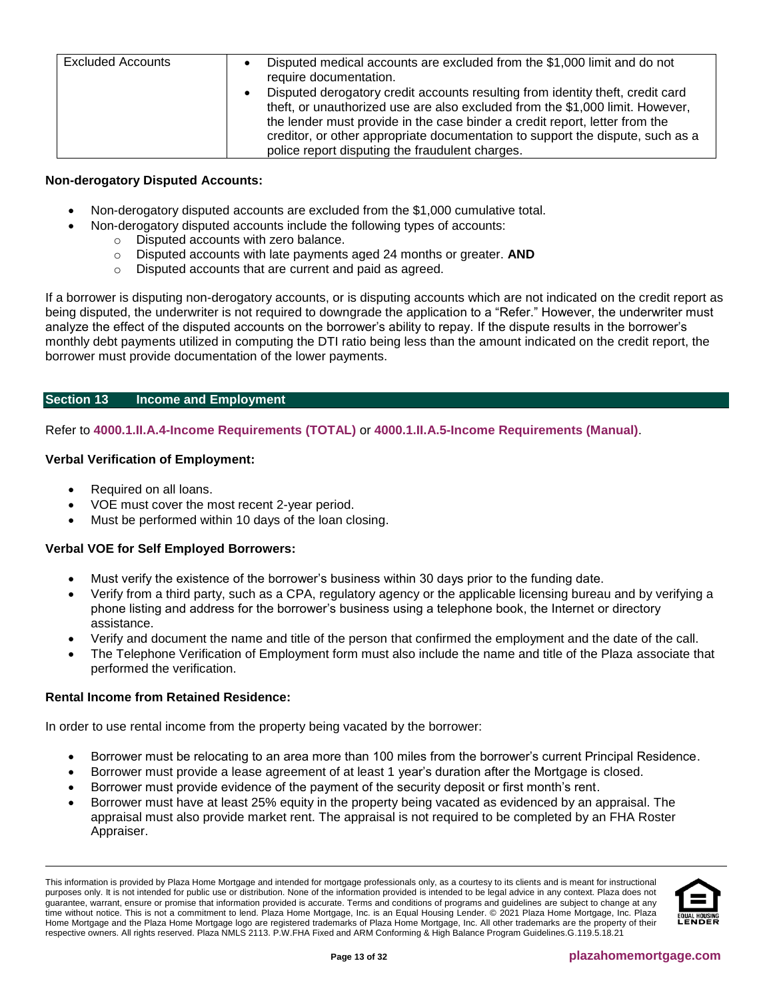| <b>Excluded Accounts</b> | Disputed medical accounts are excluded from the \$1,000 limit and do not<br>require documentation.                                                                                                                                                                                                                                                                                  |
|--------------------------|-------------------------------------------------------------------------------------------------------------------------------------------------------------------------------------------------------------------------------------------------------------------------------------------------------------------------------------------------------------------------------------|
|                          | Disputed derogatory credit accounts resulting from identity theft, credit card<br>theft, or unauthorized use are also excluded from the \$1,000 limit. However,<br>the lender must provide in the case binder a credit report, letter from the<br>creditor, or other appropriate documentation to support the dispute, such as a<br>police report disputing the fraudulent charges. |

# **Non-derogatory Disputed Accounts:**

- Non-derogatory disputed accounts are excluded from the \$1,000 cumulative total.
	- Non-derogatory disputed accounts include the following types of accounts:
		- o Disputed accounts with zero balance.
		- o Disputed accounts with late payments aged 24 months or greater. **AND**
		- o Disputed accounts that are current and paid as agreed.

If a borrower is disputing non-derogatory accounts, or is disputing accounts which are not indicated on the credit report as being disputed, the underwriter is not required to downgrade the application to a "Refer." However, the underwriter must analyze the effect of the disputed accounts on the borrower's ability to repay. If the dispute results in the borrower's monthly debt payments utilized in computing the DTI ratio being less than the amount indicated on the credit report, the borrower must provide documentation of the lower payments.

# <span id="page-12-0"></span>**Section 13 Income and Employment**

Refer to **[4000.1.II.A.4-Income Requirements \(TOTAL\)](http://portal.hud.gov/hudportal/documents/huddoc?id=40001HSGH.pdf#page=198)** or **[4000.1.II.A.5-Income Requirements \(Manual\)](http://portal.hud.gov/hudportal/documents/huddoc?id=40001HSGH.pdf#page=271)**.

#### **Verbal Verification of Employment:**

- Required on all loans.
- VOE must cover the most recent 2-year period.
- Must be performed within 10 days of the loan closing.

#### **Verbal VOE for Self Employed Borrowers:**

- Must verify the existence of the borrower's business within 30 days prior to the funding date.
- Verify from a third party, such as a CPA, regulatory agency or the applicable licensing bureau and by verifying a phone listing and address for the borrower's business using a telephone book, the Internet or directory assistance.
- Verify and document the name and title of the person that confirmed the employment and the date of the call.
- The Telephone Verification of Employment form must also include the name and title of the Plaza associate that performed the verification.

## **Rental Income from Retained Residence:**

In order to use rental income from the property being vacated by the borrower:

- Borrower must be relocating to an area more than 100 miles from the borrower's current Principal Residence.
- Borrower must provide a lease agreement of at least 1 year's duration after the Mortgage is closed.
- Borrower must provide evidence of the payment of the security deposit or first month's rent.
- Borrower must have at least 25% equity in the property being vacated as evidenced by an appraisal. The appraisal must also provide market rent. The appraisal is not required to be completed by an FHA Roster Appraiser.

This information is provided by Plaza Home Mortgage and intended for mortgage professionals only, as a courtesy to its clients and is meant for instructional purposes only. It is not intended for public use or distribution. None of the information provided is intended to be legal advice in any context. Plaza does not guarantee, warrant, ensure or promise that information provided is accurate. Terms and conditions of programs and guidelines are subject to change at any time without notice. This is not a commitment to lend. Plaza Home Mortgage, Inc. is an Equal Housing Lender. © 2021 Plaza Home Mortgage, Inc. Plaza Home Mortgage and the Plaza Home Mortgage logo are registered trademarks of Plaza Home Mortgage, Inc. All other trademarks are the property of their respective owners. All rights reserved. Plaza NMLS 2113. P.W.FHA Fixed and ARM Conforming & High Balance Program Guidelines.G.119.5.18.21

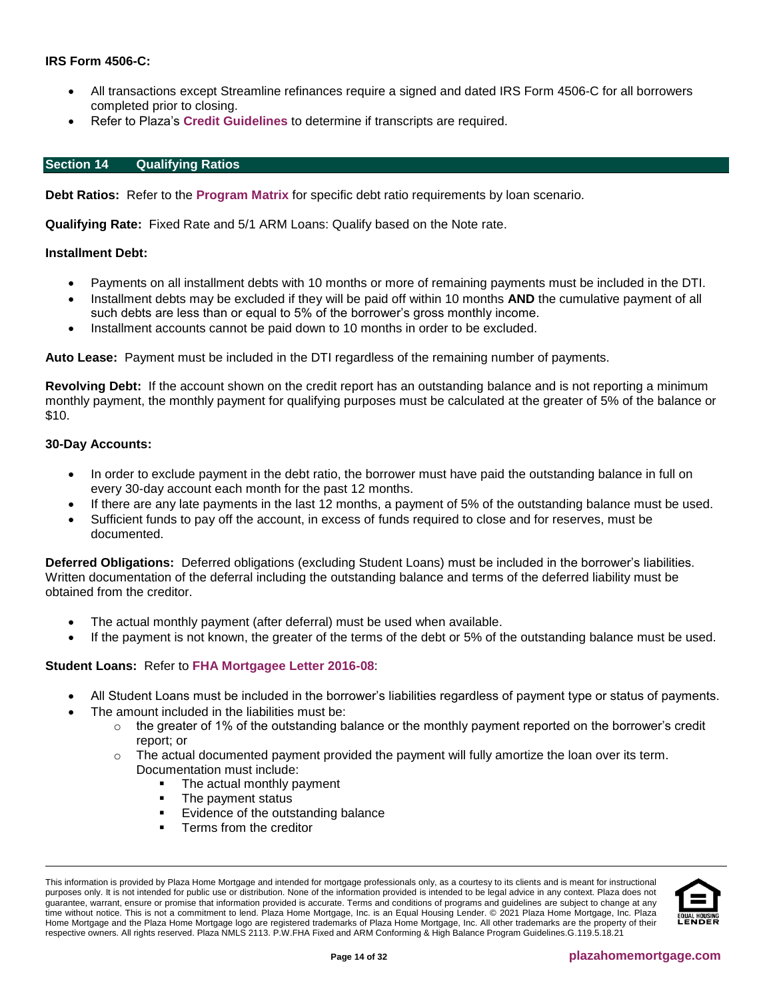# **IRS Form 4506-C:**

- All transactions except Streamline refinances require a signed and dated IRS Form 4506-C for all borrowers completed prior to closing.
- Refer to Plaza's **[Credit Guidelines](https://resourcecenter.plazahomemortgage.com/placli/all/ec8a4379a5da48c807257cbc0054308f?opendocument)** to determine if transcripts are required.

## <span id="page-13-0"></span>**Section 14 Qualifying Ratios**

**Debt Ratios:** Refer to the **[Program Matrix](#page-1-0)** for specific debt ratio requirements by loan scenario.

**Qualifying Rate:** Fixed Rate and 5/1 ARM Loans: Qualify based on the Note rate.

## **Installment Debt:**

- Payments on all installment debts with 10 months or more of remaining payments must be included in the DTI.
- Installment debts may be excluded if they will be paid off within 10 months **AND** the cumulative payment of all such debts are less than or equal to 5% of the borrower's gross monthly income.
- Installment accounts cannot be paid down to 10 months in order to be excluded.

**Auto Lease:** Payment must be included in the DTI regardless of the remaining number of payments.

**Revolving Debt:** If the account shown on the credit report has an outstanding balance and is not reporting a minimum monthly payment, the monthly payment for qualifying purposes must be calculated at the greater of 5% of the balance or \$10.

#### **30-Day Accounts:**

- In order to exclude payment in the debt ratio, the borrower must have paid the outstanding balance in full on every 30-day account each month for the past 12 months.
- If there are any late payments in the last 12 months, a payment of 5% of the outstanding balance must be used.
- Sufficient funds to pay off the account, in excess of funds required to close and for reserves, must be documented.

**Deferred Obligations:** Deferred obligations (excluding Student Loans) must be included in the borrower's liabilities. Written documentation of the deferral including the outstanding balance and terms of the deferred liability must be obtained from the creditor.

- The actual monthly payment (after deferral) must be used when available.
- If the payment is not known, the greater of the terms of the debt or 5% of the outstanding balance must be used.

# **Student Loans:** Refer to **[FHA Mortgagee Letter 2016-08](http://portal.hud.gov/hudportal/documents/huddoc?id=16-08ml.pdf)**:

- All Student Loans must be included in the borrower's liabilities regardless of payment type or status of payments.
- The amount included in the liabilities must be:
	- $\circ$  the greater of 1% of the outstanding balance or the monthly payment reported on the borrower's credit report; or
	- $\circ$  The actual documented payment provided the payment will fully amortize the loan over its term. Documentation must include:
		- The actual monthly payment
		- The payment status
		- Evidence of the outstanding balance
		- **•** Terms from the creditor

This information is provided by Plaza Home Mortgage and intended for mortgage professionals only, as a courtesy to its clients and is meant for instructional purposes only. It is not intended for public use or distribution. None of the information provided is intended to be legal advice in any context. Plaza does not guarantee, warrant, ensure or promise that information provided is accurate. Terms and conditions of programs and guidelines are subject to change at any time without notice. This is not a commitment to lend. Plaza Home Mortgage, Inc. is an Equal Housing Lender. © 2021 Plaza Home Mortgage, Inc. Plaza Home Mortgage and the Plaza Home Mortgage logo are registered trademarks of Plaza Home Mortgage, Inc. All other trademarks are the property of their respective owners. All rights reserved. Plaza NMLS 2113. P.W.FHA Fixed and ARM Conforming & High Balance Program Guidelines.G.119.5.18.21

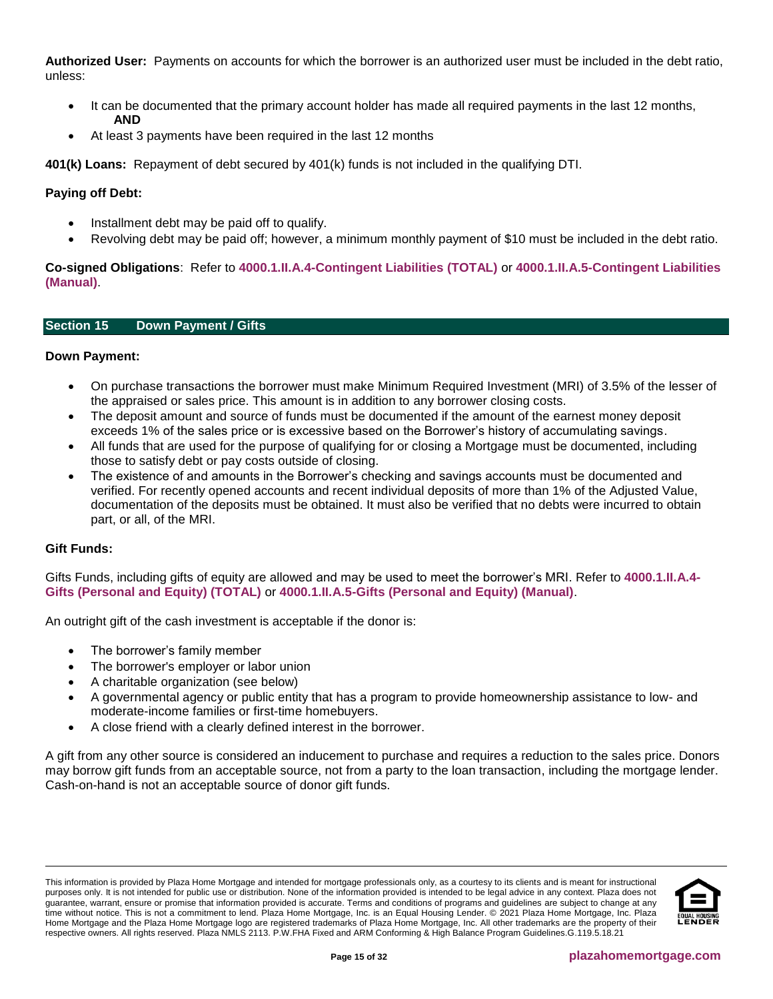**Authorized User:** Payments on accounts for which the borrower is an authorized user must be included in the debt ratio, unless:

- It can be documented that the primary account holder has made all required payments in the last 12 months, **AND**
- At least 3 payments have been required in the last 12 months

**401(k) Loans:** Repayment of debt secured by 401(k) funds is not included in the qualifying DTI.

# **Paying off Debt:**

- Installment debt may be paid off to qualify.
- Revolving debt may be paid off; however, a minimum monthly payment of \$10 must be included in the debt ratio.

**Co-signed Obligations**: Refer to **[4000.1.II.A.4-Contingent Liabilities \(TOTAL\)](http://portal.hud.gov/hudportal/documents/huddoc?id=40001HSGH.pdf#page=194)** or **[4000.1.II.A.5-Contingent Liabilities](http://portal.hud.gov/hudportal/documents/huddoc?id=40001HSGH.pdf#page=268)  [\(Manual\)](http://portal.hud.gov/hudportal/documents/huddoc?id=40001HSGH.pdf#page=268)**.

# <span id="page-14-0"></span>**Section 15 Down Payment / Gifts**

#### **Down Payment:**

- On purchase transactions the borrower must make Minimum Required Investment (MRI) of 3.5% of the lesser of the appraised or sales price. This amount is in addition to any borrower closing costs.
- The deposit amount and source of funds must be documented if the amount of the earnest money deposit exceeds 1% of the sales price or is excessive based on the Borrower's history of accumulating savings.
- All funds that are used for the purpose of qualifying for or closing a Mortgage must be documented, including those to satisfy debt or pay costs outside of closing.
- The existence of and amounts in the Borrower's checking and savings accounts must be documented and verified. For recently opened accounts and recent individual deposits of more than 1% of the Adjusted Value, documentation of the deposits must be obtained. It must also be verified that no debts were incurred to obtain part, or all, of the MRI.

# **Gift Funds:**

Gifts Funds, including gifts of equity are allowed and may be used to meet the borrower's MRI. Refer to **[4000.1.II.A.4-](http://portal.hud.gov/hudportal/documents/huddoc?id=40001HSGH.pdf#page=230) [Gifts \(Personal and Equity\) \(TOTAL\)](http://portal.hud.gov/hudportal/documents/huddoc?id=40001HSGH.pdf#page=230)** or **[4000.1.II.A.5-Gifts \(Personal and Equity\) \(Manual\)](http://portal.hud.gov/hudportal/documents/huddoc?id=40001HSGH.pdf#page=303)**.

An outright gift of the cash investment is acceptable if the donor is:

- The borrower's family member
- The borrower's employer or labor union
- A charitable organization (see below)
- A governmental agency or public entity that has a program to provide homeownership assistance to low- and moderate-income families or first-time homebuyers.
- A close friend with a clearly defined interest in the borrower.

A gift from any other source is considered an inducement to purchase and requires a reduction to the sales price. Donors may borrow gift funds from an acceptable source, not from a party to the loan transaction, including the mortgage lender. Cash-on-hand is not an acceptable source of donor gift funds.

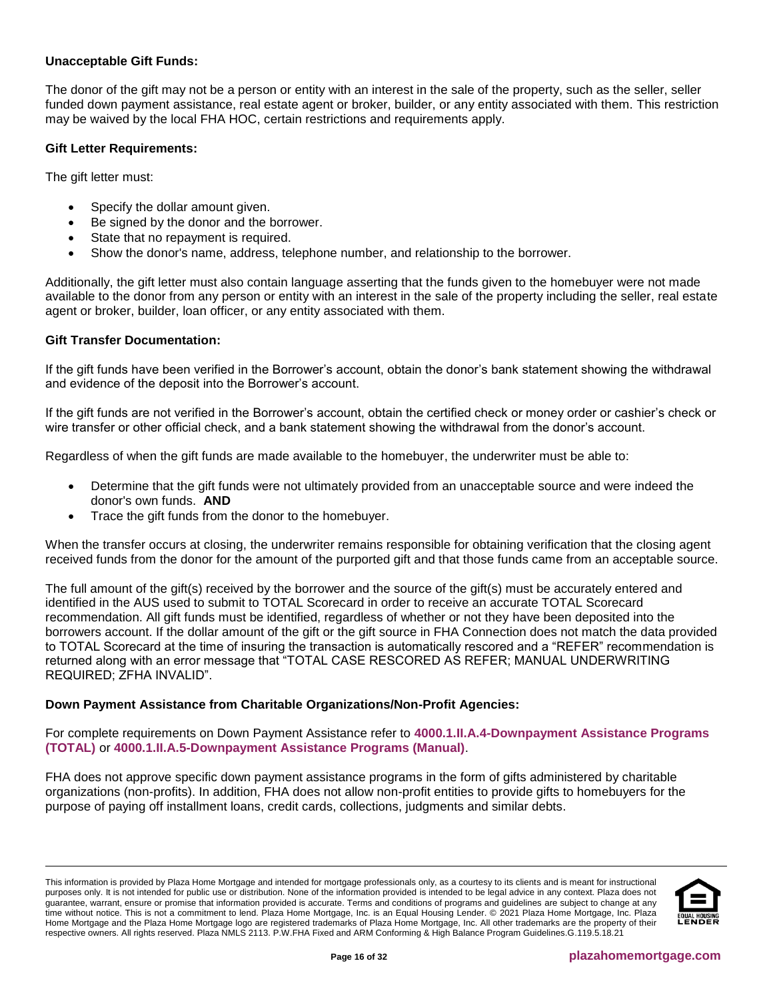## **Unacceptable Gift Funds:**

The donor of the gift may not be a person or entity with an interest in the sale of the property, such as the seller, seller funded down payment assistance, real estate agent or broker, builder, or any entity associated with them. This restriction may be waived by the local FHA HOC, certain restrictions and requirements apply.

## **Gift Letter Requirements:**

The gift letter must:

- Specify the dollar amount given.
- Be signed by the donor and the borrower.
- State that no repayment is required.
- Show the donor's name, address, telephone number, and relationship to the borrower.

Additionally, the gift letter must also contain language asserting that the funds given to the homebuyer were not made available to the donor from any person or entity with an interest in the sale of the property including the seller, real estate agent or broker, builder, loan officer, or any entity associated with them.

#### **Gift Transfer Documentation:**

If the gift funds have been verified in the Borrower's account, obtain the donor's bank statement showing the withdrawal and evidence of the deposit into the Borrower's account.

If the gift funds are not verified in the Borrower's account, obtain the certified check or money order or cashier's check or wire transfer or other official check, and a bank statement showing the withdrawal from the donor's account.

Regardless of when the gift funds are made available to the homebuyer, the underwriter must be able to:

- Determine that the gift funds were not ultimately provided from an unacceptable source and were indeed the donor's own funds. **AND**
- Trace the gift funds from the donor to the homebuyer.

When the transfer occurs at closing, the underwriter remains responsible for obtaining verification that the closing agent received funds from the donor for the amount of the purported gift and that those funds came from an acceptable source.

The full amount of the gift(s) received by the borrower and the source of the gift(s) must be accurately entered and identified in the AUS used to submit to TOTAL Scorecard in order to receive an accurate TOTAL Scorecard recommendation. All gift funds must be identified, regardless of whether or not they have been deposited into the borrowers account. If the dollar amount of the gift or the gift source in FHA Connection does not match the data provided to TOTAL Scorecard at the time of insuring the transaction is automatically rescored and a "REFER" recommendation is returned along with an error message that "TOTAL CASE RESCORED AS REFER; MANUAL UNDERWRITING REQUIRED; ZFHA INVALID".

#### **Down Payment Assistance from Charitable Organizations/Non-Profit Agencies:**

For complete requirements on Down Payment Assistance refer to **[4000.1.II.A.4-Downpayment Assistance Programs](http://portal.hud.gov/hudportal/documents/huddoc?id=40001HSGH.pdf#page=234)  [\(TOTAL\)](http://portal.hud.gov/hudportal/documents/huddoc?id=40001HSGH.pdf#page=234)** or **[4000.1.II.A.5-Downpayment Assistance Programs \(Manual\)](http://portal.hud.gov/hudportal/documents/huddoc?id=40001HSGH.pdf#page=307)**.

FHA does not approve specific down payment assistance programs in the form of gifts administered by charitable organizations (non-profits). In addition, FHA does not allow non-profit entities to provide gifts to homebuyers for the purpose of paying off installment loans, credit cards, collections, judgments and similar debts.

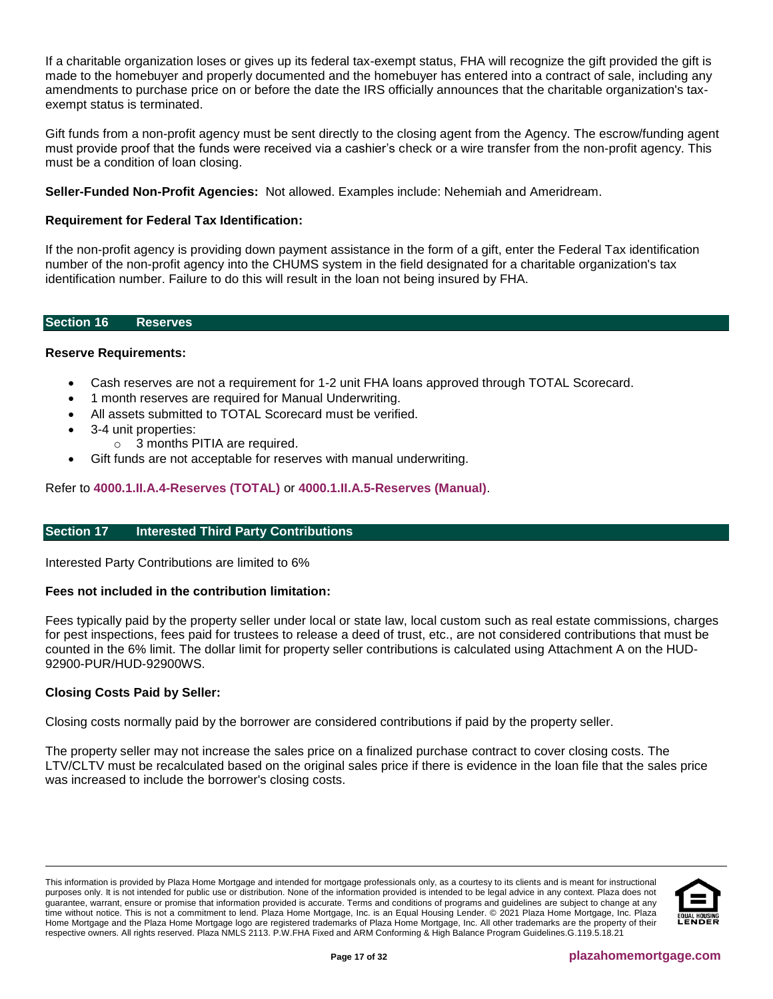If a charitable organization loses or gives up its federal tax-exempt status, FHA will recognize the gift provided the gift is made to the homebuyer and properly documented and the homebuyer has entered into a contract of sale, including any amendments to purchase price on or before the date the IRS officially announces that the charitable organization's taxexempt status is terminated.

Gift funds from a non-profit agency must be sent directly to the closing agent from the Agency. The escrow/funding agent must provide proof that the funds were received via a cashier's check or a wire transfer from the non-profit agency. This must be a condition of loan closing.

**Seller-Funded Non-Profit Agencies:** Not allowed. Examples include: Nehemiah and Ameridream.

# **Requirement for Federal Tax Identification:**

If the non-profit agency is providing down payment assistance in the form of a gift, enter the Federal Tax identification number of the non-profit agency into the CHUMS system in the field designated for a charitable organization's tax identification number. Failure to do this will result in the loan not being insured by FHA.

<span id="page-16-0"></span>**Section 16 Reserves**

#### **Reserve Requirements:**

- Cash reserves are not a requirement for 1-2 unit FHA loans approved through TOTAL Scorecard.
- 1 month reserves are required for Manual Underwriting.
- All assets submitted to TOTAL Scorecard must be verified.
- 3-4 unit properties:
	- o 3 months PITIA are required.
- Gift funds are not acceptable for reserves with manual underwriting.

Refer to **[4000.1.II.A.4-Reserves \(TOTAL\)](http://portal.hud.gov/hudportal/documents/huddoc?id=40001HSGH.pdf#page=225)** or **[4000.1.II.A.5-Reserves \(Manual\)](http://portal.hud.gov/hudportal/documents/huddoc?id=40001HSGH.pdf#page=298)**.

#### <span id="page-16-1"></span>**Section 17 Interested Third Party Contributions**

Interested Party Contributions are limited to 6%

#### **Fees not included in the contribution limitation:**

Fees typically paid by the property seller under local or state law, local custom such as real estate commissions, charges for pest inspections, fees paid for trustees to release a deed of trust, etc., are not considered contributions that must be counted in the 6% limit. The dollar limit for property seller contributions is calculated using Attachment A on the HUD-92900-PUR/HUD-92900WS.

#### **Closing Costs Paid by Seller:**

Closing costs normally paid by the borrower are considered contributions if paid by the property seller.

The property seller may not increase the sales price on a finalized purchase contract to cover closing costs. The LTV/CLTV must be recalculated based on the original sales price if there is evidence in the loan file that the sales price was increased to include the borrower's closing costs.

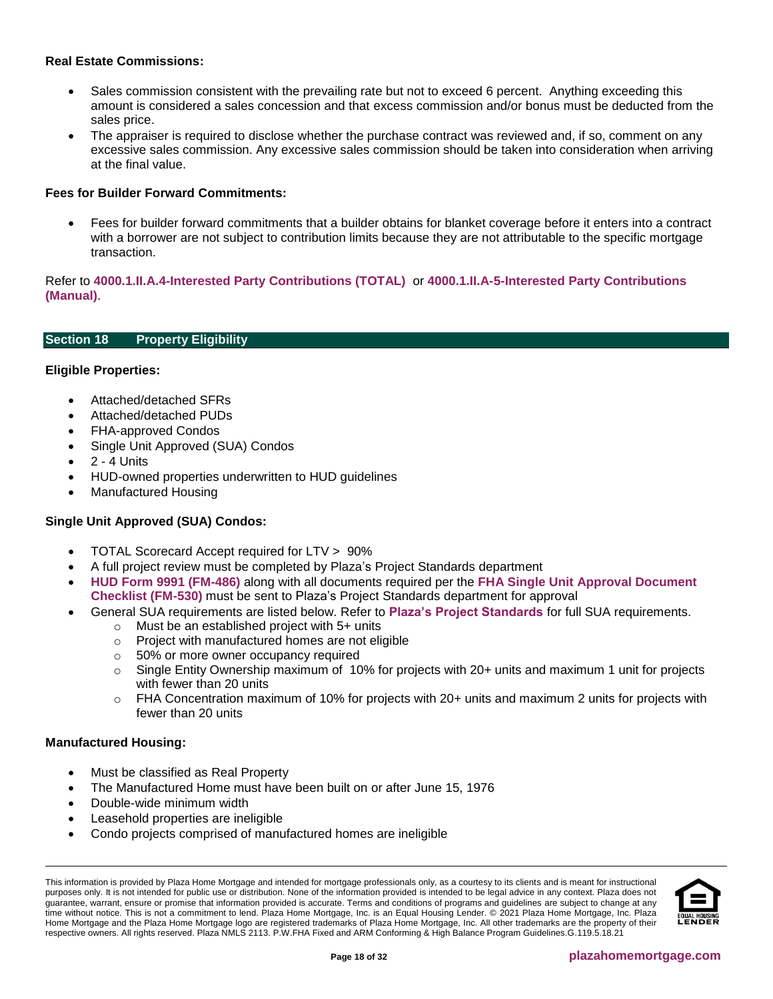## **Real Estate Commissions:**

- Sales commission consistent with the prevailing rate but not to exceed 6 percent. Anything exceeding this amount is considered a sales concession and that excess commission and/or bonus must be deducted from the sales price.
- The appraiser is required to disclose whether the purchase contract was reviewed and, if so, comment on any excessive sales commission. Any excessive sales commission should be taken into consideration when arriving at the final value.

## **Fees for Builder Forward Commitments:**

• Fees for builder forward commitments that a builder obtains for blanket coverage before it enters into a contract with a borrower are not subject to contribution limits because they are not attributable to the specific mortgage transaction.

Refer to **[4000.1.II.A.4-Interested Party Contributions \(TOTAL\)](http://portal.hud.gov/hudportal/documents/huddoc?id=40001HSGH.pdf#page=232)** or **[4000.1.II.A-5-Interested Party](http://portal.hud.gov/hudportal/documents/huddoc?id=40001HSGH.pdf#page=305) Contributions [\(Manual\)](http://portal.hud.gov/hudportal/documents/huddoc?id=40001HSGH.pdf#page=305)**.

# <span id="page-17-0"></span>**Section 18 Property Eligibility**

#### **Eligible Properties:**

- Attached/detached SFRs
- Attached/detached PUDs
- FHA-approved Condos
- Single Unit Approved (SUA) Condos
- 2 4 Units
- HUD-owned properties underwritten to HUD guidelines
- Manufactured Housing

# **Single Unit Approved (SUA) Condos:**

- TOTAL Scorecard Accept required for LTV > 90%
- A full project review must be completed by Plaza's Project Standards department
- **[HUD Form 9991 \(FM-486\)](https://resourcecenter.plazahomemortgage.com/whocli/all/79d80473dec0e9d88825847e005c5a2c?opendocument)** along with all documents required per the **[FHA Single Unit Approval Document](https://resourcecenter.plazahomemortgage.com/whocli/all/7baa65fcec99cb8e88258485004a115c?opendocument)  [Checklist \(FM-530\)](https://resourcecenter.plazahomemortgage.com/whocli/all/7baa65fcec99cb8e88258485004a115c?opendocument)** must be sent to Plaza's Project Standards department for approval
- General SUA requirements are listed below. Refer to **[Plaza's Project Standards](https://resourcecenter.plazahomemortgage.com/placli/All/1C8504812F19222A07257D6B006262D7)** for full SUA requirements.
	- $\circ$  Must be an established project with 5+ units
	- o Project with manufactured homes are not eligible
	- o 50% or more owner occupancy required
	- $\circ$  Single Entity Ownership maximum of 10% for projects with 20+ units and maximum 1 unit for projects with fewer than 20 units
	- $\circ$  FHA Concentration maximum of 10% for projects with 20+ units and maximum 2 units for projects with fewer than 20 units

### **Manufactured Housing:**

- Must be classified as Real Property
- The Manufactured Home must have been built on or after June 15, 1976
- Double-wide minimum width
- Leasehold properties are ineligible
- Condo projects comprised of manufactured homes are ineligible

This information is provided by Plaza Home Mortgage and intended for mortgage professionals only, as a courtesy to its clients and is meant for instructional purposes only. It is not intended for public use or distribution. None of the information provided is intended to be legal advice in any context. Plaza does not guarantee, warrant, ensure or promise that information provided is accurate. Terms and conditions of programs and guidelines are subject to change at any time without notice. This is not a commitment to lend. Plaza Home Mortgage, Inc. is an Equal Housing Lender. © 2021 Plaza Home Mortgage, Inc. Plaza Home Mortgage and the Plaza Home Mortgage logo are registered trademarks of Plaza Home Mortgage, Inc. All other trademarks are the property of their respective owners. All rights reserved. Plaza NMLS 2113. P.W.FHA Fixed and ARM Conforming & High Balance Program Guidelines.G.119.5.18.21

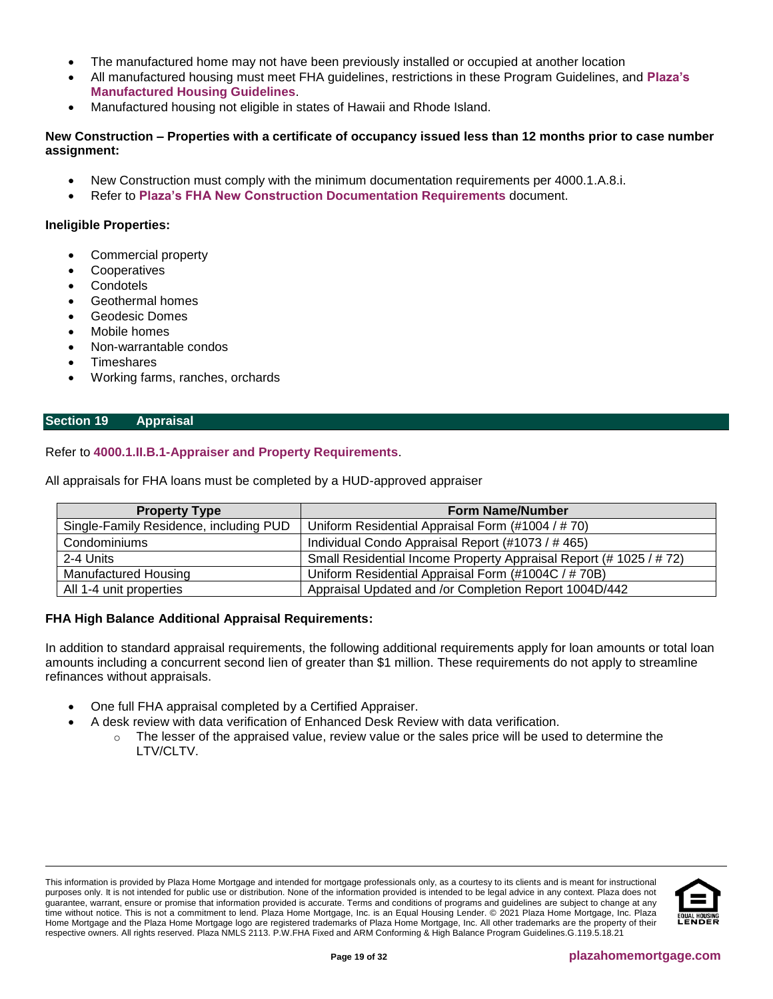- The manufactured home may not have been previously installed or occupied at another location
- All manufactured housing must meet FHA guidelines, restrictions in these Program Guidelines, and **[Plaza's](https://resourcecenter.plazahomemortgage.com/phmidocpublisher.nsf/All/F80CDE97BD14D52C8825805A00682B1E?OpenDocument&STATUS=PUBLISHED)  [Manufactured Housing Guidelines](https://resourcecenter.plazahomemortgage.com/phmidocpublisher.nsf/All/F80CDE97BD14D52C8825805A00682B1E?OpenDocument&STATUS=PUBLISHED)**.
- Manufactured housing not eligible in states of Hawaii and Rhode Island.

#### **New Construction – Properties with a certificate of occupancy issued less than 12 months prior to case number assignment:**

- New Construction must comply with the minimum documentation requirements per 4000.1.A.8.i.
- Refer to **[Plaza's FHA New Construction Documentation Requirements](https://resourcecenter.plazahomemortgage.com/minicli/all/12fd62621b67ff88882584b6007304e4?opendocument)** document.

#### **Ineligible Properties:**

- Commercial property
- **Cooperatives**
- **Condotels**
- Geothermal homes
- Geodesic Domes
- Mobile homes
- Non-warrantable condos
- **Timeshares**
- Working farms, ranches, orchards

#### <span id="page-18-0"></span>**Section 19 Appraisal**

Refer to **[4000.1.II.B.1-Appraiser and Property Requirements](http://portal.hud.gov/hudportal/documents/huddoc?id=40001HSGH.pdf#page=476)**.

All appraisals for FHA loans must be completed by a HUD-approved appraiser

| <b>Property Type</b>                   | <b>Form Name/Number</b>                                            |
|----------------------------------------|--------------------------------------------------------------------|
| Single-Family Residence, including PUD | Uniform Residential Appraisal Form (#1004 / # 70)                  |
| Condominiums                           | Individual Condo Appraisal Report (#1073 / #465)                   |
| 2-4 Units                              | Small Residential Income Property Appraisal Report (# 1025 / # 72) |
| <b>Manufactured Housing</b>            | Uniform Residential Appraisal Form (#1004C / # 70B)                |
| All 1-4 unit properties                | Appraisal Updated and /or Completion Report 1004D/442              |

#### **FHA High Balance Additional Appraisal Requirements:**

In addition to standard appraisal requirements, the following additional requirements apply for loan amounts or total loan amounts including a concurrent second lien of greater than \$1 million. These requirements do not apply to streamline refinances without appraisals.

- One full FHA appraisal completed by a Certified Appraiser.
	- A desk review with data verification of Enhanced Desk Review with data verification.
		- $\circ$  The lesser of the appraised value, review value or the sales price will be used to determine the LTV/CLTV.

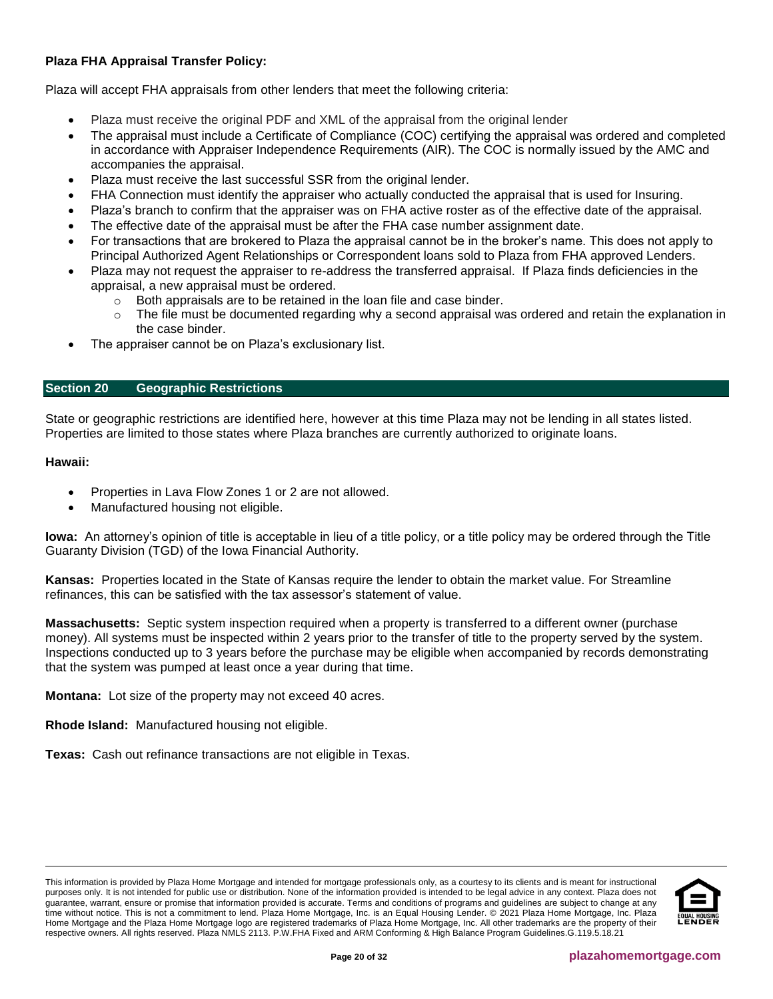# **Plaza FHA Appraisal Transfer Policy:**

Plaza will accept FHA appraisals from other lenders that meet the following criteria:

- Plaza must receive the original PDF and XML of the appraisal from the original lender
- The appraisal must include a Certificate of Compliance (COC) certifying the appraisal was ordered and completed in accordance with Appraiser Independence Requirements (AIR). The COC is normally issued by the AMC and accompanies the appraisal.
- Plaza must receive the last successful SSR from the original lender.
- FHA Connection must identify the appraiser who actually conducted the appraisal that is used for Insuring.
- Plaza's branch to confirm that the appraiser was on FHA active roster as of the effective date of the appraisal.
- The effective date of the appraisal must be after the FHA case number assignment date.
- For transactions that are brokered to Plaza the appraisal cannot be in the broker's name. This does not apply to Principal Authorized Agent Relationships or Correspondent loans sold to Plaza from FHA approved Lenders.
- Plaza may not request the appraiser to re-address the transferred appraisal. If Plaza finds deficiencies in the appraisal, a new appraisal must be ordered.
	- Both appraisals are to be retained in the loan file and case binder.
	- $\circ$  The file must be documented regarding why a second appraisal was ordered and retain the explanation in the case binder.
- The appraiser cannot be on Plaza's exclusionary list.

# <span id="page-19-0"></span>**Section 20 Geographic Restrictions**

State or geographic restrictions are identified here, however at this time Plaza may not be lending in all states listed. Properties are limited to those states where Plaza branches are currently authorized to originate loans.

#### **Hawaii:**

- Properties in Lava Flow Zones 1 or 2 are not allowed.
- Manufactured housing not eligible.

**Iowa:** An attorney's opinion of title is acceptable in lieu of a title policy, or a title policy may be ordered through the Title Guaranty Division (TGD) of the Iowa Financial Authority.

**Kansas:** Properties located in the State of Kansas require the lender to obtain the market value. For Streamline refinances, this can be satisfied with the tax assessor's statement of value.

**Massachusetts:** Septic system inspection required when a property is transferred to a different owner (purchase money). All systems must be inspected within 2 years prior to the transfer of title to the property served by the system. Inspections conducted up to 3 years before the purchase may be eligible when accompanied by records demonstrating that the system was pumped at least once a year during that time.

**Montana:** Lot size of the property may not exceed 40 acres.

**Rhode Island:** Manufactured housing not eligible.

**Texas:** Cash out refinance transactions are not eligible in Texas.

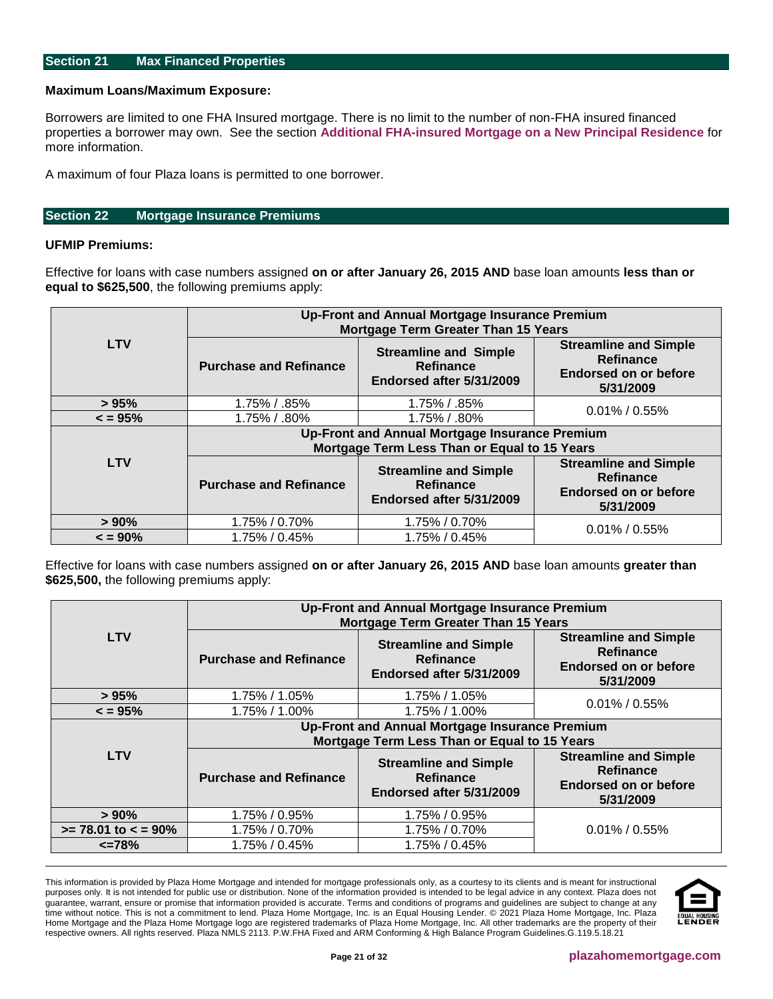#### <span id="page-20-0"></span>**Section 21 Max Financed Properties**

#### **Maximum Loans/Maximum Exposure:**

Borrowers are limited to one FHA Insured mortgage. There is no limit to the number of non-FHA insured financed properties a borrower may own. See the section **Additional FHA-insured Mortgage on a New Principal Residence** for more information.

A maximum of four Plaza loans is permitted to one borrower.

#### <span id="page-20-1"></span>**Section 22 Mortgage Insurance Premiums**

# **UFMIP Premiums:**

Effective for loans with case numbers assigned **on or after January 26, 2015 AND** base loan amounts **less than or equal to \$625,500**, the following premiums apply:

|              | Up-Front and Annual Mortgage Insurance Premium<br><b>Mortgage Term Greater Than 15 Years</b> |                                                                       |                                                                                        |  |  |  |  |  |
|--------------|----------------------------------------------------------------------------------------------|-----------------------------------------------------------------------|----------------------------------------------------------------------------------------|--|--|--|--|--|
| <b>LTV</b>   | <b>Purchase and Refinance</b>                                                                | <b>Streamline and Simple</b><br>Refinance<br>Endorsed after 5/31/2009 | <b>Streamline and Simple</b><br><b>Refinance</b><br>Endorsed on or before<br>5/31/2009 |  |  |  |  |  |
| > 95%        | 1.75% / .85%                                                                                 | 1.75% / .85%                                                          | $0.01\%$ / 0.55%                                                                       |  |  |  |  |  |
| $\leq$ = 95% | 1.75% / .80%                                                                                 | 1.75% / .80%                                                          |                                                                                        |  |  |  |  |  |
|              | Up-Front and Annual Mortgage Insurance Premium                                               |                                                                       |                                                                                        |  |  |  |  |  |
|              | Mortgage Term Less Than or Equal to 15 Years                                                 |                                                                       |                                                                                        |  |  |  |  |  |
| <b>LTV</b>   | <b>Purchase and Refinance</b>                                                                | <b>Streamline and Simple</b><br>Refinance<br>Endorsed after 5/31/2009 | <b>Streamline and Simple</b><br><b>Refinance</b><br>Endorsed on or before<br>5/31/2009 |  |  |  |  |  |
| $> 90\%$     | 1.75% / 0.70%                                                                                | 1.75% / 0.70%                                                         | $0.01\%$ / 0.55%                                                                       |  |  |  |  |  |
| $\leq$ = 90% | 1.75% / 0.45%                                                                                | 1.75% / 0.45%                                                         |                                                                                        |  |  |  |  |  |

Effective for loans with case numbers assigned **on or after January 26, 2015 AND** base loan amounts **greater than \$625,500,** the following premiums apply:

|                          | Up-Front and Annual Mortgage Insurance Premium<br><b>Mortgage Term Greater Than 15 Years</b> |                                                                                        |                                                                                 |  |  |  |  |  |
|--------------------------|----------------------------------------------------------------------------------------------|----------------------------------------------------------------------------------------|---------------------------------------------------------------------------------|--|--|--|--|--|
| <b>LTV</b>               | <b>Purchase and Refinance</b>                                                                | <b>Streamline and Simple</b><br><b>Refinance</b><br>Endorsed on or before<br>5/31/2009 |                                                                                 |  |  |  |  |  |
| > 95%                    | 1.75% / 1.05%                                                                                | 1.75% / 1.05%                                                                          | $0.01\%$ / 0.55%                                                                |  |  |  |  |  |
| $\leq$ = 95%             | 1.75% / 1.00%                                                                                | 1.75% / 1.00%                                                                          |                                                                                 |  |  |  |  |  |
|                          | Up-Front and Annual Mortgage Insurance Premium                                               |                                                                                        |                                                                                 |  |  |  |  |  |
|                          | Mortgage Term Less Than or Equal to 15 Years                                                 |                                                                                        |                                                                                 |  |  |  |  |  |
| <b>LTV</b>               | <b>Purchase and Refinance</b>                                                                | <b>Streamline and Simple</b><br>Refinance<br>Endorsed after 5/31/2009                  | <b>Streamline and Simple</b><br>Refinance<br>Endorsed on or before<br>5/31/2009 |  |  |  |  |  |
| $> 90\%$                 | 1.75% / 0.95%                                                                                | 1.75% / 0.95%                                                                          |                                                                                 |  |  |  |  |  |
| $>= 78.01$ to $< = 90\%$ | 1.75% / 0.70%                                                                                | 1.75% / 0.70%                                                                          | $0.01\% / 0.55\%$                                                               |  |  |  |  |  |
| $\epsilon$ =78%          | 1.75% / 0.45%                                                                                | 1.75% / 0.45%                                                                          |                                                                                 |  |  |  |  |  |

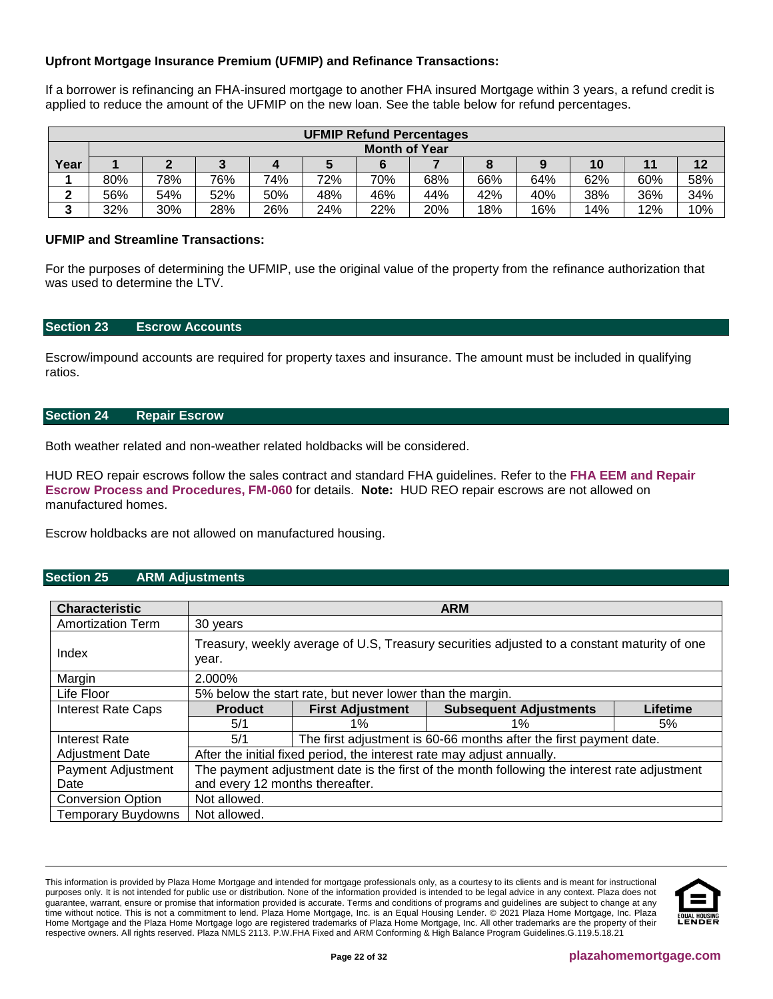# **Upfront Mortgage Insurance Premium (UFMIP) and Refinance Transactions:**

If a borrower is refinancing an FHA-insured mortgage to another FHA insured Mortgage within 3 years, a refund credit is applied to reduce the amount of the UFMIP on the new loan. See the table below for refund percentages.

|        | <b>UFMIP Refund Percentages</b> |     |     |     |     |     |     |     |     |     |     |     |
|--------|---------------------------------|-----|-----|-----|-----|-----|-----|-----|-----|-----|-----|-----|
|        | <b>Month of Year</b>            |     |     |     |     |     |     |     |     |     |     |     |
| Year   |                                 |     |     |     |     |     |     |     |     | 10  |     |     |
|        | 80%                             | 78% | 76% | 74% | 72% | 70% | 68% | 66% | 64% | 62% | 60% | 58% |
| -      | 56%                             | 54% | 52% | 50% | 48% | 46% | 44% | 42% | 40% | 38% | 36% | 34% |
| ◠<br>J | 32%                             | 30% | 28% | 26% | 24% | 22% | 20% | 18% | 16% | 14% | 12% | 10% |

## **UFMIP and Streamline Transactions:**

For the purposes of determining the UFMIP, use the original value of the property from the refinance authorization that was used to determine the LTV.

#### <span id="page-21-2"></span>**Section 23 Escrow Accounts**

Escrow/impound accounts are required for property taxes and insurance. The amount must be included in qualifying ratios.

## <span id="page-21-3"></span>**Section 24 Repair Escrow**

Both weather related and non-weather related holdbacks will be considered.

HUD REO repair escrows follow the sales contract and standard FHA guidelines. Refer to the **[FHA EEM and Repair](https://resourcecenter.plazahomemortgage.com/phmidocpublisher.nsf/All/03C490350EB14A58072579D600814100?OpenDocument)  [Escrow Process and Procedures, FM-060](https://resourcecenter.plazahomemortgage.com/phmidocpublisher.nsf/All/03C490350EB14A58072579D600814100?OpenDocument)** for details. **Note:** HUD REO repair escrows are not allowed on manufactured homes.

Escrow holdbacks are not allowed on manufactured housing.

#### <span id="page-21-0"></span>**Section 25 ARM Adjustments**

<span id="page-21-1"></span>

| <b>Characteristic</b>     | <b>ARM</b>                                                                                           |                         |                               |                 |
|---------------------------|------------------------------------------------------------------------------------------------------|-------------------------|-------------------------------|-----------------|
| <b>Amortization Term</b>  | 30 years                                                                                             |                         |                               |                 |
| Index                     | Treasury, weekly average of U.S, Treasury securities adjusted to a constant maturity of one<br>year. |                         |                               |                 |
| Margin                    | 2.000%                                                                                               |                         |                               |                 |
| Life Floor                | 5% below the start rate, but never lower than the margin.                                            |                         |                               |                 |
| <b>Interest Rate Caps</b> | <b>Product</b>                                                                                       | <b>First Adjustment</b> | <b>Subsequent Adjustments</b> | <b>Lifetime</b> |
|                           | 5/1                                                                                                  | $1\%$                   | $1\%$                         | 5%              |
| Interest Rate             | The first adjustment is 60-66 months after the first payment date.<br>5/1                            |                         |                               |                 |
| <b>Adjustment Date</b>    | After the initial fixed period, the interest rate may adjust annually.                               |                         |                               |                 |
| Payment Adjustment        | The payment adjustment date is the first of the month following the interest rate adjustment         |                         |                               |                 |
| Date                      | and every 12 months thereafter.                                                                      |                         |                               |                 |
| <b>Conversion Option</b>  | Not allowed.                                                                                         |                         |                               |                 |
| Temporary Buydowns        | Not allowed.                                                                                         |                         |                               |                 |

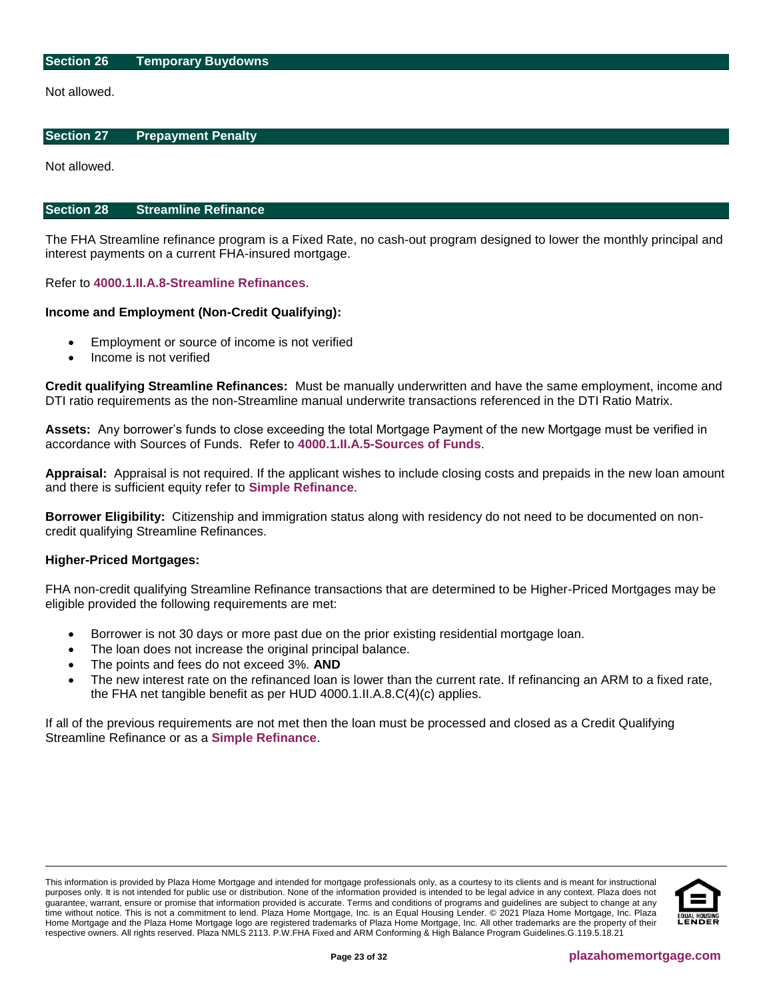#### **Section 26 Temporary Buydowns**

Not allowed.

#### <span id="page-22-0"></span>**Section 27 Prepayment Penalty**

Not allowed.

#### <span id="page-22-1"></span>**Section 28 Streamline Refinance**

The FHA Streamline refinance program is a Fixed Rate, no cash-out program designed to lower the monthly principal and interest payments on a current FHA-insured mortgage.

Refer to **[4000.1.II.A.8-Streamline Refinances](http://portal.hud.gov/hudportal/documents/huddoc?id=40001HSGH.pdf#page=415)**.

#### **Income and Employment (Non-Credit Qualifying):**

- Employment or source of income is not verified
- Income is not verified

**Credit qualifying Streamline Refinances:** Must be manually underwritten and have the same employment, income and DTI ratio requirements as the non-Streamline manual underwrite transactions referenced in the DTI Ratio Matrix.

**Assets:** Any borrower's funds to close exceeding the total Mortgage Payment of the new Mortgage must be verified in accordance with Sources of Funds. Refer to **[4000.1.II.A.5-Sources of Funds](http://portal.hud.gov/hudportal/documents/huddoc?id=40001HSGH.pdf#page=297)**.

**Appraisal:** Appraisal is not required. If the applicant wishes to include closing costs and prepaids in the new loan amount and there is sufficient equity refer to **Simple Refinance**.

**Borrower Eligibility:** Citizenship and immigration status along with residency do not need to be documented on noncredit qualifying Streamline Refinances.

#### **Higher-Priced Mortgages:**

FHA non-credit qualifying Streamline Refinance transactions that are determined to be Higher-Priced Mortgages may be eligible provided the following requirements are met:

- Borrower is not 30 days or more past due on the prior existing residential mortgage loan.
- The loan does not increase the original principal balance.
- The points and fees do not exceed 3%. **AND**
- The new interest rate on the refinanced loan is lower than the current rate. If refinancing an ARM to a fixed rate, the FHA net tangible benefit as per HUD 4000.1.II.A.8.C(4)(c) applies.

If all of the previous requirements are not met then the loan must be processed and closed as a Credit Qualifying Streamline Refinance or as a **Simple Refinance**.

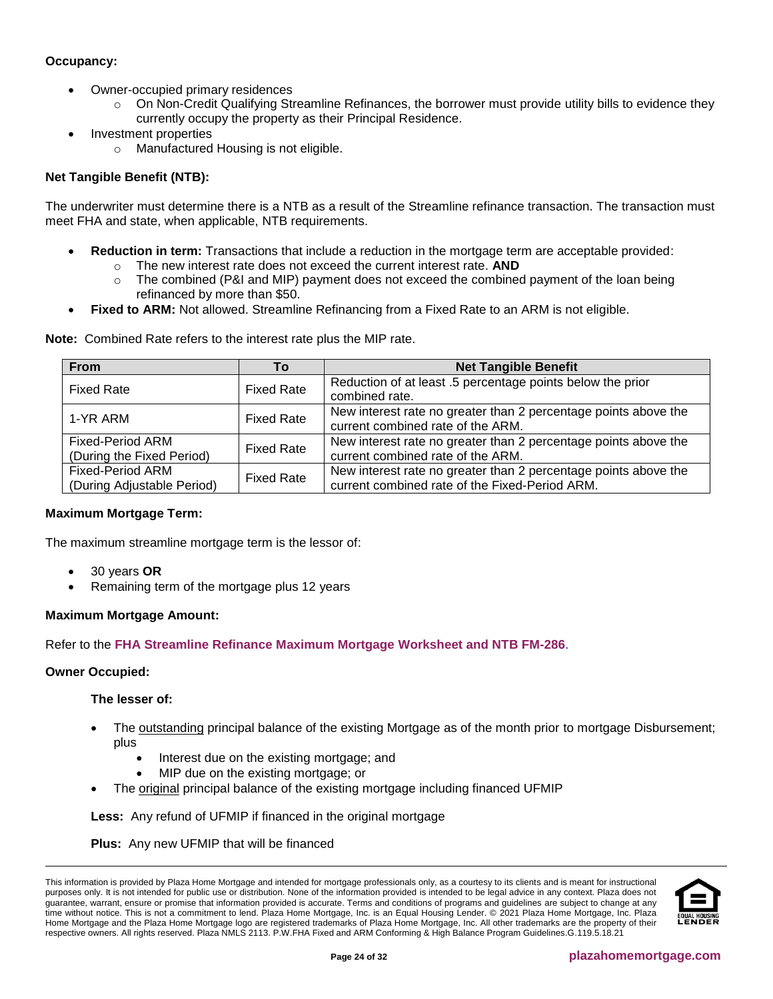# **Occupancy:**

- Owner-occupied primary residences
	- o On Non-Credit Qualifying Streamline Refinances, the borrower must provide utility bills to evidence they currently occupy the property as their Principal Residence.
- Investment properties
	- o Manufactured Housing is not eligible.

# **Net Tangible Benefit (NTB):**

The underwriter must determine there is a NTB as a result of the Streamline refinance transaction. The transaction must meet FHA and state, when applicable, NTB requirements.

- **Reduction in term:** Transactions that include a reduction in the mortgage term are acceptable provided: o The new interest rate does not exceed the current interest rate. **AND**
	- $\circ$  The combined (P&I and MIP) payment does not exceed the combined payment of the loan being refinanced by more than \$50.
- **Fixed to ARM:** Not allowed. Streamline Refinancing from a Fixed Rate to an ARM is not eligible.

| <b>From</b>                                           | Т٥                | <b>Net Tangible Benefit</b>                                                                                       |
|-------------------------------------------------------|-------------------|-------------------------------------------------------------------------------------------------------------------|
| <b>Fixed Rate</b>                                     | <b>Fixed Rate</b> | Reduction of at least .5 percentage points below the prior<br>combined rate.                                      |
| 1-YR ARM                                              | <b>Fixed Rate</b> | New interest rate no greater than 2 percentage points above the<br>current combined rate of the ARM.              |
| <b>Fixed-Period ARM</b><br>(During the Fixed Period)  | <b>Fixed Rate</b> | New interest rate no greater than 2 percentage points above the<br>current combined rate of the ARM.              |
| <b>Fixed-Period ARM</b><br>(During Adjustable Period) | <b>Fixed Rate</b> | New interest rate no greater than 2 percentage points above the<br>current combined rate of the Fixed-Period ARM. |

**Note:** Combined Rate refers to the interest rate plus the MIP rate.

# **Maximum Mortgage Term:**

The maximum streamline mortgage term is the lessor of:

- 30 years **OR**
- Remaining term of the mortgage plus 12 years

# **Maximum Mortgage Amount:**

Refer to the **[FHA Streamline Refinance Maximum Mortgage Worksheet and NTB FM-286](http://resourcecenter.plazahomemortgage.com/phmidocpublisher.nsf/0/AF544D086369C88507257EC20061A271)**.

#### **Owner Occupied:**

#### **The lesser of:**

- The outstanding principal balance of the existing Mortgage as of the month prior to mortgage Disbursement; plus
	- Interest due on the existing mortgage; and
	- MIP due on the existing mortgage; or
- The original principal balance of the existing mortgage including financed UFMIP

**Less:** Any refund of UFMIP if financed in the original mortgage

**Plus:** Any new UFMIP that will be financed

This information is provided by Plaza Home Mortgage and intended for mortgage professionals only, as a courtesy to its clients and is meant for instructional purposes only. It is not intended for public use or distribution. None of the information provided is intended to be legal advice in any context. Plaza does not guarantee, warrant, ensure or promise that information provided is accurate. Terms and conditions of programs and guidelines are subject to change at any time without notice. This is not a commitment to lend. Plaza Home Mortgage, Inc. is an Equal Housing Lender. © 2021 Plaza Home Mortgage, Inc. Plaza Home Mortgage and the Plaza Home Mortgage logo are registered trademarks of Plaza Home Mortgage, Inc. All other trademarks are the property of their respective owners. All rights reserved. Plaza NMLS 2113. P.W.FHA Fixed and ARM Conforming & High Balance Program Guidelines.G.119.5.18.21

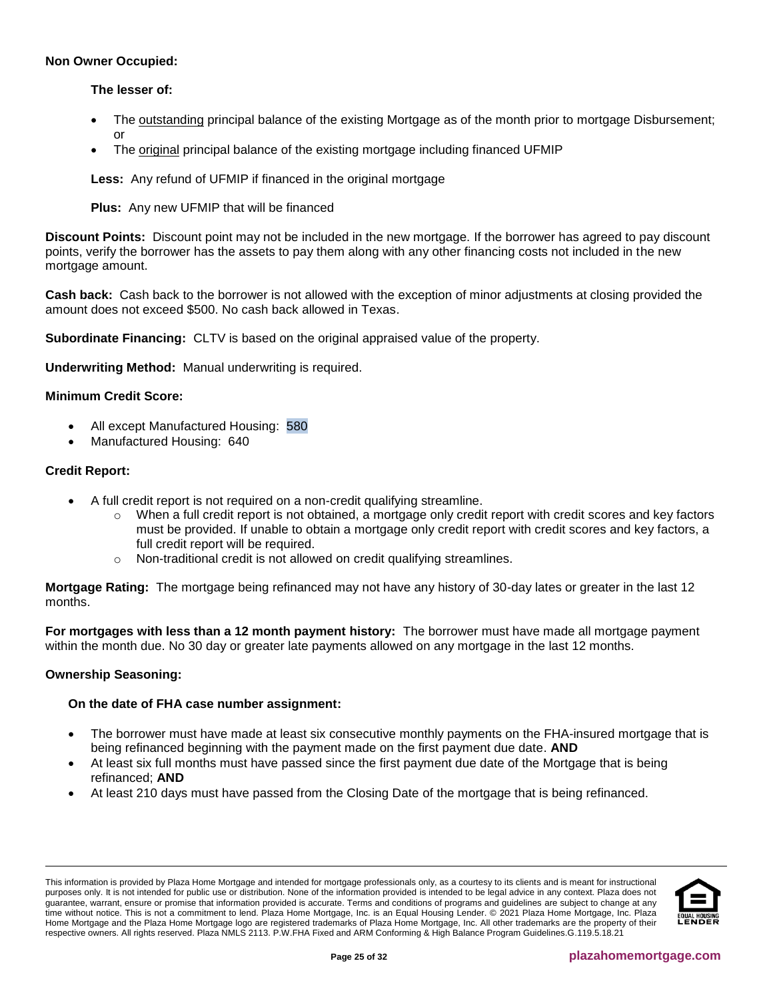## **Non Owner Occupied:**

# **The lesser of:**

- The outstanding principal balance of the existing Mortgage as of the month prior to mortgage Disbursement; or
- The original principal balance of the existing mortgage including financed UFMIP

**Less:** Any refund of UFMIP if financed in the original mortgage

**Plus:** Any new UFMIP that will be financed

**Discount Points:** Discount point may not be included in the new mortgage. If the borrower has agreed to pay discount points, verify the borrower has the assets to pay them along with any other financing costs not included in the new mortgage amount.

**Cash back:** Cash back to the borrower is not allowed with the exception of minor adjustments at closing provided the amount does not exceed \$500. No cash back allowed in Texas.

**Subordinate Financing:** CLTV is based on the original appraised value of the property.

**Underwriting Method:** Manual underwriting is required.

# **Minimum Credit Score:**

- All except Manufactured Housing: 580
- Manufactured Housing: 640

# **Credit Report:**

- A full credit report is not required on a non-credit qualifying streamline.
	- When a full credit report is not obtained, a mortgage only credit report with credit scores and key factors must be provided. If unable to obtain a mortgage only credit report with credit scores and key factors, a full credit report will be required.
	- o Non-traditional credit is not allowed on credit qualifying streamlines.

**Mortgage Rating:** The mortgage being refinanced may not have any history of 30-day lates or greater in the last 12 months.

**For mortgages with less than a 12 month payment history:** The borrower must have made all mortgage payment within the month due. No 30 day or greater late payments allowed on any mortgage in the last 12 months.

#### **Ownership Seasoning:**

#### **On the date of FHA case number assignment:**

- The borrower must have made at least six consecutive monthly payments on the FHA-insured mortgage that is being refinanced beginning with the payment made on the first payment due date. **AND**
- At least six full months must have passed since the first payment due date of the Mortgage that is being refinanced; **AND**
- At least 210 days must have passed from the Closing Date of the mortgage that is being refinanced.

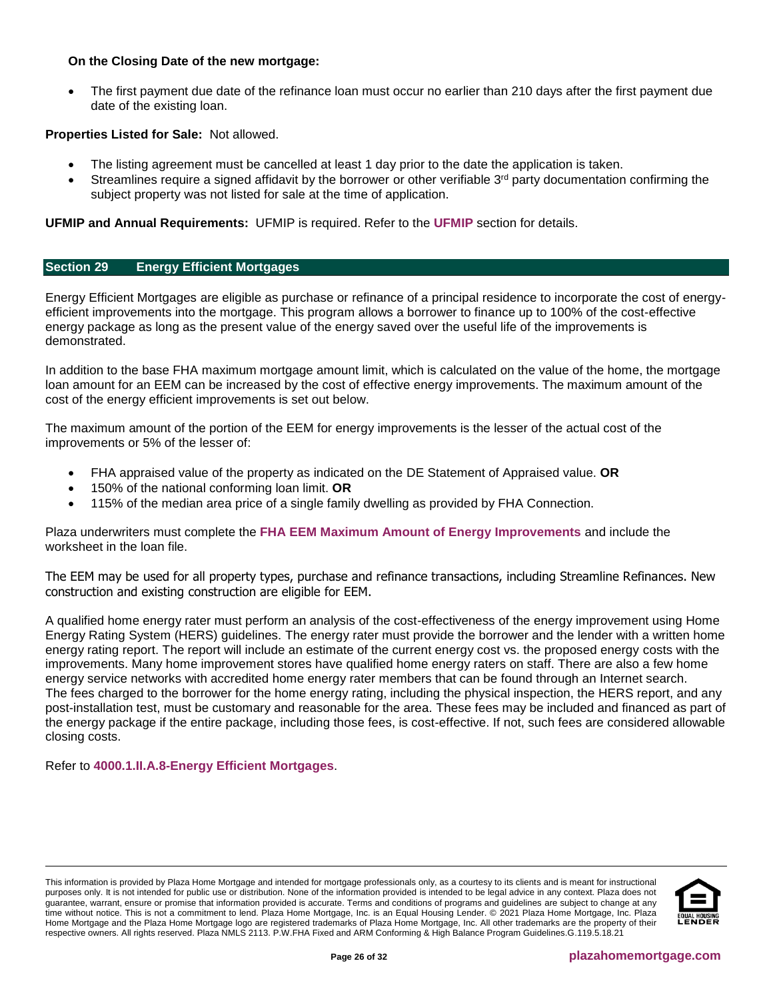## **On the Closing Date of the new mortgage:**

• The first payment due date of the refinance loan must occur no earlier than 210 days after the first payment due date of the existing loan.

# **Properties Listed for Sale:** Not allowed.

- The listing agreement must be cancelled at least 1 day prior to the date the application is taken.
- Streamlines require a signed affidavit by the borrower or other verifiable 3<sup>rd</sup> party documentation confirming the subject property was not listed for sale at the time of application.

**UFMIP and Annual Requirements:** UFMIP is required. Refer to the **[UFMIP](#page-20-1)** section for details.

#### <span id="page-25-0"></span>**Section 29 Energy Efficient Mortgages**

Energy Efficient Mortgages are eligible as purchase or refinance of a principal residence to incorporate the cost of energyefficient improvements into the mortgage. This program allows a borrower to finance up to 100% of the cost-effective energy package as long as the present value of the energy saved over the useful life of the improvements is demonstrated.

In addition to the base FHA maximum mortgage amount limit, which is calculated on the value of the home, the mortgage loan amount for an EEM can be increased by the cost of effective energy improvements. The maximum amount of the cost of the energy efficient improvements is set out below.

The maximum amount of the portion of the EEM for energy improvements is the lesser of the actual cost of the improvements or 5% of the lesser of:

- FHA appraised value of the property as indicated on the DE Statement of Appraised value. **OR**
- 150% of the national conforming loan limit. **OR**
- 115% of the median area price of a single family dwelling as provided by FHA Connection.

Plaza underwriters must complete the **[FHA EEM Maximum Amount of Energy Improvements](https://resourcecenter.plazahomemortgage.com/phmidocpublisher.nsf/All/5C4A8B89B9F649BA072579D70013E4E4?OpenDocument)** and include the worksheet in the loan file.

The EEM may be used for all property types, purchase and refinance transactions, including Streamline Refinances. New construction and existing construction are eligible for EEM.

A qualified home energy rater must perform an analysis of the cost-effectiveness of the energy improvement using Home Energy Rating System (HERS) guidelines. The energy rater must provide the borrower and the lender with a written home energy rating report. The report will include an estimate of the current energy cost vs. the proposed energy costs with the improvements. Many home improvement stores have qualified home energy raters on staff. There are also a few home energy service networks with accredited home energy rater members that can be found through an Internet search. The fees charged to the borrower for the home energy rating, including the physical inspection, the HERS report, and any post-installation test, must be customary and reasonable for the area. These fees may be included and financed as part of the energy package if the entire package, including those fees, is cost-effective. If not, such fees are considered allowable closing costs.

#### <span id="page-25-1"></span>Refer to **[4000.1.II.A.8-Energy Efficient Mortgages](http://portal.hud.gov/hudportal/documents/huddoc?id=40001HSGH.pdf#page=399)**.

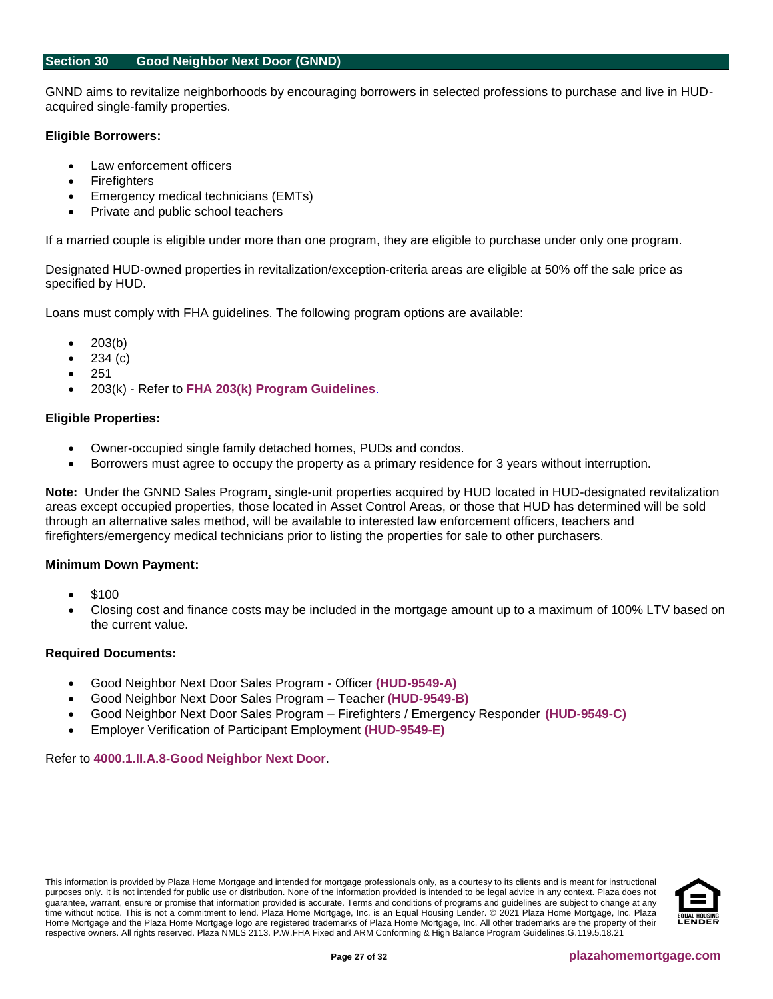#### <span id="page-26-0"></span>**Section 30 Good Neighbor Next Door (GNND)**

GNND aims to revitalize neighborhoods by encouraging borrowers in selected professions to purchase and live in HUDacquired single-family properties.

#### **Eligible Borrowers:**

- Law enforcement officers
- **Firefighters**
- Emergency medical technicians (EMTs)
- Private and public school teachers

If a married couple is eligible under more than one program, they are eligible to purchase under only one program.

Designated HUD-owned properties in revitalization/exception-criteria areas are eligible at 50% off the sale price as specified by HUD.

Loans must comply with FHA guidelines. The following program options are available:

- $203(b)$
- 234 (c)
- 251
- 203(k) Refer to **[FHA 203\(k\) Program Guidelines](https://resourcecenter.plazahomemortgage.com/phmidocpublisher.nsf/All/CCB43F61B68C213307257D4800619988?OpenDocument)**.

#### **Eligible Properties:**

- Owner-occupied single family detached homes, PUDs and condos.
- Borrowers must agree to occupy the property as a primary residence for 3 years without interruption.

**Note:** Under the GNND Sales Program, single-unit properties acquired by HUD located in HUD-designated revitalization areas except occupied properties, those located in Asset Control Areas, or those that HUD has determined will be sold through an alternative sales method, will be available to interested law enforcement officers, teachers and firefighters/emergency medical technicians prior to listing the properties for sale to other purchasers.

#### **Minimum Down Payment:**

- \$100
- Closing cost and finance costs may be included in the mortgage amount up to a maximum of 100% LTV based on the current value.

## **Required Documents:**

- Good Neighbor Next Door Sales Program Officer **[\(HUD-9549-A\)](http://portal.hud.gov/hudportal/documents/huddoc?id=9549a.pdf)**
- Good Neighbor Next Door Sales Program Teacher **[\(HUD-9549-B\)](http://portal.hud.gov/hudportal/documents/huddoc?id=9549b.pdf)**
- Good Neighbor Next Door Sales Program Firefighters / Emergency Responder **[\(HUD-9549-C\)](http://portal.hud.gov/hudportal/documents/huddoc?id=9549c.pdf)**
- Employer Verification of Participant Employment **[\(HUD-9549-E\)](http://portal.hud.gov/hudportal/documents/huddoc?id=9549e.pdf)**

#### <span id="page-26-1"></span>Refer to **[4000.1.II.A.8-Good Neighbor Next Door](http://portal.hud.gov/hudportal/documents/huddoc?id=40001HSGH.pdf#page=457)**.

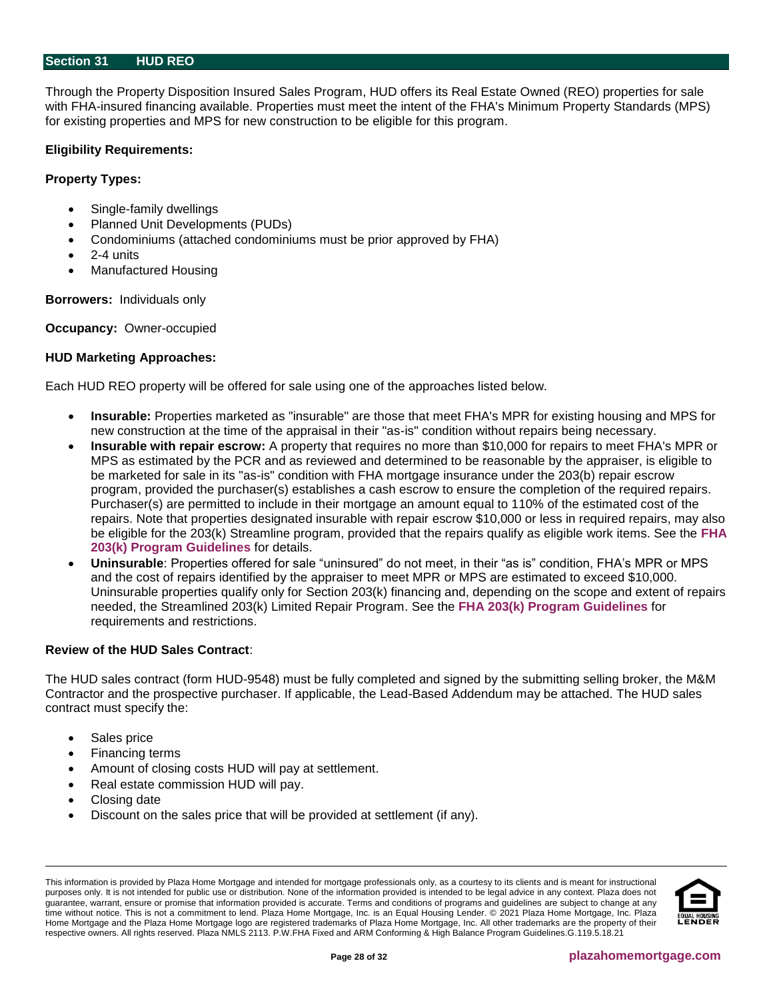#### <span id="page-27-0"></span>**Section 31 HUD REO**

Through the Property Disposition Insured Sales Program, HUD offers its Real Estate Owned (REO) properties for sale with FHA-insured financing available. Properties must meet the intent of the FHA's Minimum Property Standards (MPS) for existing properties and MPS for new construction to be eligible for this program.

#### **Eligibility Requirements:**

#### **Property Types:**

- Single-family dwellings
- Planned Unit Developments (PUDs)
- Condominiums (attached condominiums must be prior approved by FHA)
- 2-4 units
- Manufactured Housing

**Borrowers:** Individuals only

**Occupancy:** Owner-occupied

#### **HUD Marketing Approaches:**

Each HUD REO property will be offered for sale using one of the approaches listed below.

- **Insurable:** Properties marketed as "insurable" are those that meet FHA's MPR for existing housing and MPS for new construction at the time of the appraisal in their "as-is" condition without repairs being necessary.
- **Insurable with repair escrow:** A property that requires no more than \$10,000 for repairs to meet FHA's MPR or MPS as estimated by the PCR and as reviewed and determined to be reasonable by the appraiser, is eligible to be marketed for sale in its "as-is" condition with FHA mortgage insurance under the 203(b) repair escrow program, provided the purchaser(s) establishes a cash escrow to ensure the completion of the required repairs. Purchaser(s) are permitted to include in their mortgage an amount equal to 110% of the estimated cost of the repairs. Note that properties designated insurable with repair escrow \$10,000 or less in required repairs, may also be eligible for the 203(k) Streamline program, provided that the repairs qualify as eligible work items. See the **[FHA](https://resourcecenter.plazahomemortgage.com/phmidocpublisher.nsf/All/CCB43F61B68C213307257D4800619988?OpenDocument)  [203\(k\) Program Guidelines](https://resourcecenter.plazahomemortgage.com/phmidocpublisher.nsf/All/CCB43F61B68C213307257D4800619988?OpenDocument)** for details.
- **Uninsurable**: Properties offered for sale "uninsured" do not meet, in their "as is" condition, FHA's MPR or MPS and the cost of repairs identified by the appraiser to meet MPR or MPS are estimated to exceed \$10,000. Uninsurable properties qualify only for Section 203(k) financing and, depending on the scope and extent of repairs needed, the Streamlined 203(k) Limited Repair Program. See the **FHA 203(k) [Program Guidelines](https://resourcecenter.plazahomemortgage.com/phmidocpublisher.nsf/All/57C5B76D6998ADE207257A38006B7D12?OpenDocument)** for requirements and restrictions.

#### **Review of the HUD Sales Contract**:

The HUD sales contract (form HUD-9548) must be fully completed and signed by the submitting selling broker, the M&M Contractor and the prospective purchaser. If applicable, the Lead-Based Addendum may be attached. The HUD sales contract must specify the:

- Sales price
- Financing terms
- Amount of closing costs HUD will pay at settlement.
- Real estate commission HUD will pay.
- Closing date
- Discount on the sales price that will be provided at settlement (if any).

This information is provided by Plaza Home Mortgage and intended for mortgage professionals only, as a courtesy to its clients and is meant for instructional purposes only. It is not intended for public use or distribution. None of the information provided is intended to be legal advice in any context. Plaza does not guarantee, warrant, ensure or promise that information provided is accurate. Terms and conditions of programs and guidelines are subject to change at any time without notice. This is not a commitment to lend. Plaza Home Mortgage, Inc. is an Equal Housing Lender. © 2021 Plaza Home Mortgage, Inc. Plaza Home Mortgage and the Plaza Home Mortgage logo are registered trademarks of Plaza Home Mortgage, Inc. All other trademarks are the property of their respective owners. All rights reserved. Plaza NMLS 2113. P.W.FHA Fixed and ARM Conforming & High Balance Program Guidelines.G.119.5.18.21

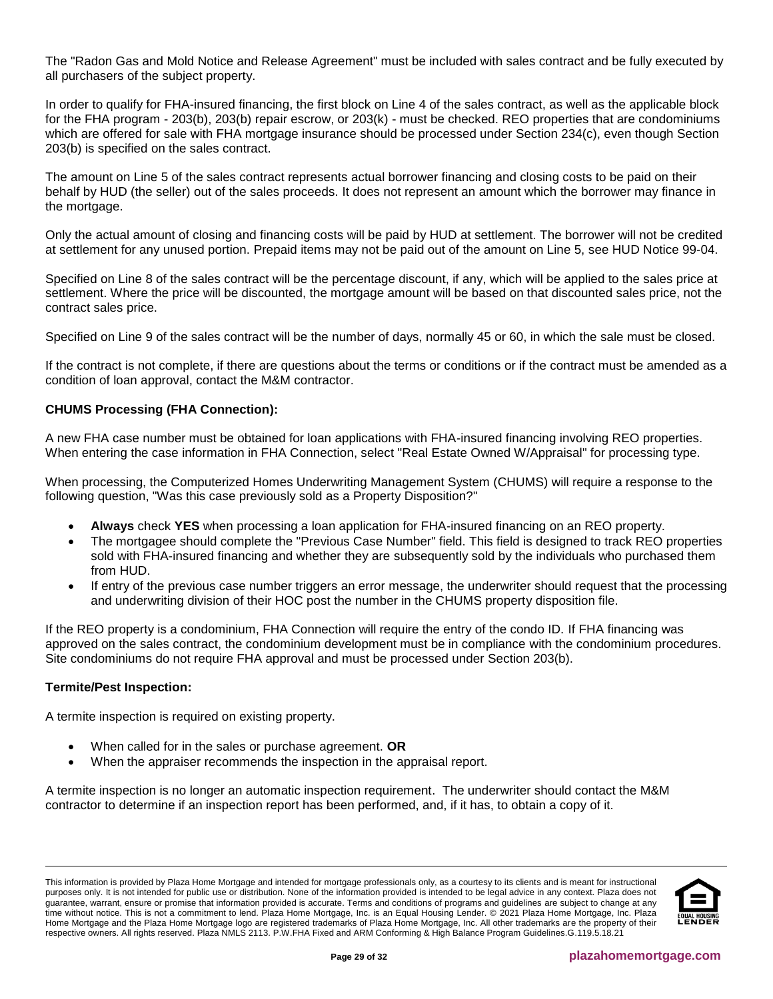The "Radon Gas and Mold Notice and Release Agreement" must be included with sales contract and be fully executed by all purchasers of the subject property.

In order to qualify for FHA-insured financing, the first block on Line 4 of the sales contract, as well as the applicable block for the FHA program - 203(b), 203(b) repair escrow, or 203(k) - must be checked. REO properties that are condominiums which are offered for sale with FHA mortgage insurance should be processed under Section 234(c), even though Section 203(b) is specified on the sales contract.

The amount on Line 5 of the sales contract represents actual borrower financing and closing costs to be paid on their behalf by HUD (the seller) out of the sales proceeds. It does not represent an amount which the borrower may finance in the mortgage.

Only the actual amount of closing and financing costs will be paid by HUD at settlement. The borrower will not be credited at settlement for any unused portion. Prepaid items may not be paid out of the amount on Line 5, see HUD Notice 99-04.

Specified on Line 8 of the sales contract will be the percentage discount, if any, which will be applied to the sales price at settlement. Where the price will be discounted, the mortgage amount will be based on that discounted sales price, not the contract sales price.

Specified on Line 9 of the sales contract will be the number of days, normally 45 or 60, in which the sale must be closed.

If the contract is not complete, if there are questions about the terms or conditions or if the contract must be amended as a condition of loan approval, contact the M&M contractor.

# **CHUMS Processing (FHA Connection):**

A new FHA case number must be obtained for loan applications with FHA-insured financing involving REO properties. When entering the case information in FHA Connection, select "Real Estate Owned W/Appraisal" for processing type.

When processing, the Computerized Homes Underwriting Management System (CHUMS) will require a response to the following question, "Was this case previously sold as a Property Disposition?"

- **Always** check **YES** when processing a loan application for FHA-insured financing on an REO property.
- The mortgagee should complete the "Previous Case Number" field. This field is designed to track REO properties sold with FHA-insured financing and whether they are subsequently sold by the individuals who purchased them from HUD.
- If entry of the previous case number triggers an error message, the underwriter should request that the processing and underwriting division of their HOC post the number in the CHUMS property disposition file.

If the REO property is a condominium, FHA Connection will require the entry of the condo ID. If FHA financing was approved on the sales contract, the condominium development must be in compliance with the condominium procedures. Site condominiums do not require FHA approval and must be processed under Section 203(b).

#### **Termite/Pest Inspection:**

A termite inspection is required on existing property.

- When called for in the sales or purchase agreement. **OR**
- When the appraiser recommends the inspection in the appraisal report.

A termite inspection is no longer an automatic inspection requirement. The underwriter should contact the M&M contractor to determine if an inspection report has been performed, and, if it has, to obtain a copy of it.

This information is provided by Plaza Home Mortgage and intended for mortgage professionals only, as a courtesy to its clients and is meant for instructional purposes only. It is not intended for public use or distribution. None of the information provided is intended to be legal advice in any context. Plaza does not guarantee, warrant, ensure or promise that information provided is accurate. Terms and conditions of programs and guidelines are subject to change at any time without notice. This is not a commitment to lend. Plaza Home Mortgage, Inc. is an Equal Housing Lender. © 2021 Plaza Home Mortgage, Inc. Plaza Home Mortgage and the Plaza Home Mortgage logo are registered trademarks of Plaza Home Mortgage, Inc. All other trademarks are the property of their respective owners. All rights reserved. Plaza NMLS 2113. P.W.FHA Fixed and ARM Conforming & High Balance Program Guidelines.G.119.5.18.21

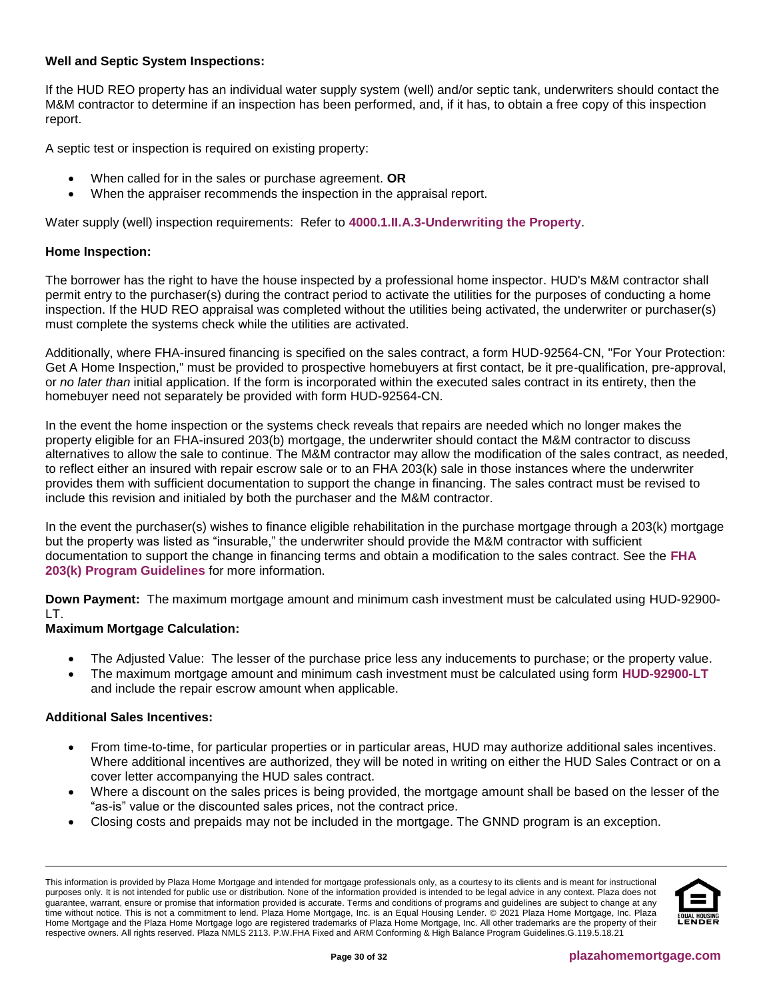# **Well and Septic System Inspections:**

If the HUD REO property has an individual water supply system (well) and/or septic tank, underwriters should contact the M&M contractor to determine if an inspection has been performed, and, if it has, to obtain a free copy of this inspection report.

A septic test or inspection is required on existing property:

- When called for in the sales or purchase agreement. **OR**
- When the appraiser recommends the inspection in the appraisal report.

Water supply (well) inspection requirements: Refer to **[4000.1.II.A.3-Underwriting the Property](http://portal.hud.gov/hudportal/documents/huddoc?id=40001HSGH.pdf#page=170)**.

## **Home Inspection:**

The borrower has the right to have the house inspected by a professional home inspector. HUD's M&M contractor shall permit entry to the purchaser(s) during the contract period to activate the utilities for the purposes of conducting a home inspection. If the HUD REO appraisal was completed without the utilities being activated, the underwriter or purchaser(s) must complete the systems check while the utilities are activated.

Additionally, where FHA-insured financing is specified on the sales contract, a form HUD-92564-CN, "For Your Protection: Get A Home Inspection," must be provided to prospective homebuyers at first contact, be it pre-qualification, pre-approval, or *no later than* initial application. If the form is incorporated within the executed sales contract in its entirety, then the homebuyer need not separately be provided with form HUD-92564-CN.

In the event the home inspection or the systems check reveals that repairs are needed which no longer makes the property eligible for an FHA-insured 203(b) mortgage, the underwriter should contact the M&M contractor to discuss alternatives to allow the sale to continue. The M&M contractor may allow the modification of the sales contract, as needed, to reflect either an insured with repair escrow sale or to an FHA 203(k) sale in those instances where the underwriter provides them with sufficient documentation to support the change in financing. The sales contract must be revised to include this revision and initialed by both the purchaser and the M&M contractor.

In the event the purchaser(s) wishes to finance eligible rehabilitation in the purchase mortgage through a 203(k) mortgage but the property was listed as "insurable," the underwriter should provide the M&M contractor with sufficient documentation to support the change in financing terms and obtain a modification to the sales contract. See the **[FHA](https://resourcecenter.plazahomemortgage.com/phmidocpublisher.nsf/All/CCB43F61B68C213307257D4800619988?OpenDocument)  [203\(k\) Program Guidelines](https://resourcecenter.plazahomemortgage.com/phmidocpublisher.nsf/All/CCB43F61B68C213307257D4800619988?OpenDocument)** for more information.

**Down Payment:** The maximum mortgage amount and minimum cash investment must be calculated using HUD-92900- LT.

# **Maximum Mortgage Calculation:**

- The Adjusted Value: The lesser of the purchase price less any inducements to purchase; or the property value.
- The maximum mortgage amount and minimum cash investment must be calculated using form **[HUD-92900-LT](http://portal.hud.gov/hudportal/documents/huddoc?id=DOC_20728.pdf)** and include the repair escrow amount when applicable.

#### **Additional Sales Incentives:**

- From time-to-time, for particular properties or in particular areas, HUD may authorize additional sales incentives. Where additional incentives are authorized, they will be noted in writing on either the HUD Sales Contract or on a cover letter accompanying the HUD sales contract.
- Where a discount on the sales prices is being provided, the mortgage amount shall be based on the lesser of the "as-is" value or the discounted sales prices, not the contract price.
- Closing costs and prepaids may not be included in the mortgage. The GNND program is an exception.

This information is provided by Plaza Home Mortgage and intended for mortgage professionals only, as a courtesy to its clients and is meant for instructional purposes only. It is not intended for public use or distribution. None of the information provided is intended to be legal advice in any context. Plaza does not guarantee, warrant, ensure or promise that information provided is accurate. Terms and conditions of programs and guidelines are subject to change at any time without notice. This is not a commitment to lend. Plaza Home Mortgage, Inc. is an Equal Housing Lender. © 2021 Plaza Home Mortgage, Inc. Plaza Home Mortgage and the Plaza Home Mortgage logo are registered trademarks of Plaza Home Mortgage, Inc. All other trademarks are the property of their respective owners. All rights reserved. Plaza NMLS 2113. P.W.FHA Fixed and ARM Conforming & High Balance Program Guidelines.G.119.5.18.21

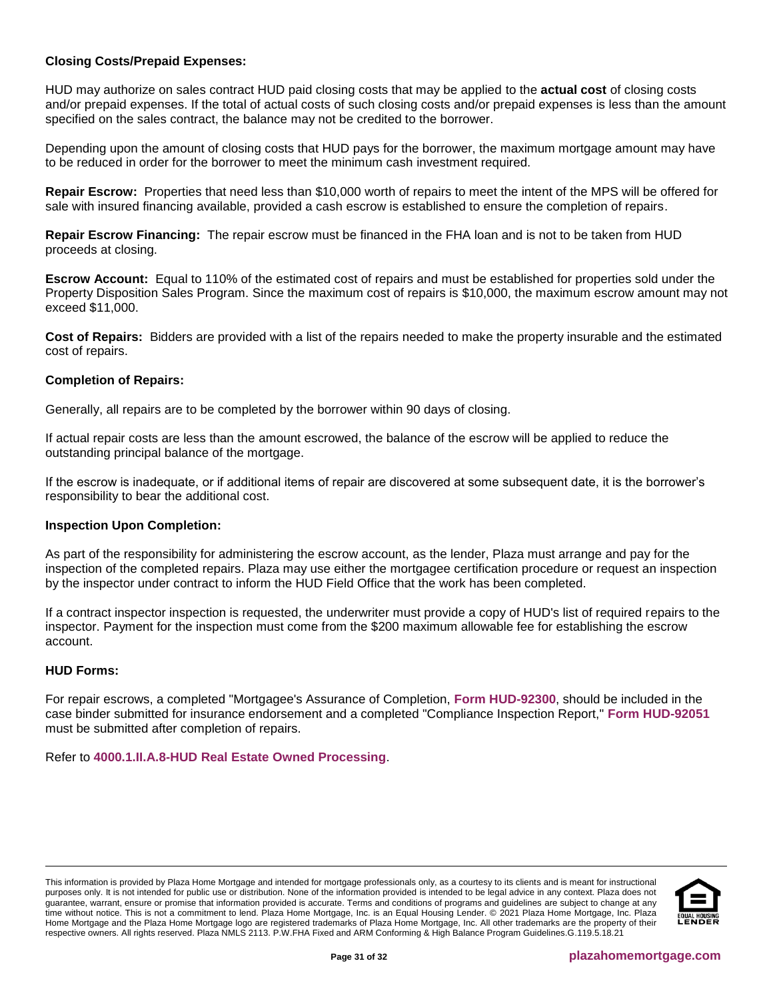# **Closing Costs/Prepaid Expenses:**

HUD may authorize on sales contract HUD paid closing costs that may be applied to the **actual cost** of closing costs and/or prepaid expenses. If the total of actual costs of such closing costs and/or prepaid expenses is less than the amount specified on the sales contract, the balance may not be credited to the borrower.

Depending upon the amount of closing costs that HUD pays for the borrower, the maximum mortgage amount may have to be reduced in order for the borrower to meet the minimum cash investment required.

**Repair Escrow:** Properties that need less than \$10,000 worth of repairs to meet the intent of the MPS will be offered for sale with insured financing available, provided a cash escrow is established to ensure the completion of repairs.

**Repair Escrow Financing:** The repair escrow must be financed in the FHA loan and is not to be taken from HUD proceeds at closing.

**Escrow Account:** Equal to 110% of the estimated cost of repairs and must be established for properties sold under the Property Disposition Sales Program. Since the maximum cost of repairs is \$10,000, the maximum escrow amount may not exceed \$11,000.

**Cost of Repairs:** Bidders are provided with a list of the repairs needed to make the property insurable and the estimated cost of repairs.

#### **Completion of Repairs:**

Generally, all repairs are to be completed by the borrower within 90 days of closing.

If actual repair costs are less than the amount escrowed, the balance of the escrow will be applied to reduce the outstanding principal balance of the mortgage.

If the escrow is inadequate, or if additional items of repair are discovered at some subsequent date, it is the borrower's responsibility to bear the additional cost.

#### **Inspection Upon Completion:**

As part of the responsibility for administering the escrow account, as the lender, Plaza must arrange and pay for the inspection of the completed repairs. Plaza may use either the mortgagee certification procedure or request an inspection by the inspector under contract to inform the HUD Field Office that the work has been completed.

If a contract inspector inspection is requested, the underwriter must provide a copy of HUD's list of required repairs to the inspector. Payment for the inspection must come from the \$200 maximum allowable fee for establishing the escrow account.

#### **HUD Forms:**

For repair escrows, a completed "Mortgagee's Assurance of Completion, **[Form HUD-92300](http://portal.hud.gov/hudportal/documents/huddoc?id=92300.pdf)**, should be included in the case binder submitted for insurance endorsement and a completed "Compliance Inspection Report," **[Form HUD-92051](http://portal.hud.gov/hudportal/documents/huddoc?id=92051.pdf)** must be submitted after completion of repairs.

Refer to **[4000.1.II.A.8-HUD Real Estate Owned Processing](http://portal.hud.gov/hudportal/documents/huddoc?id=40001HSGH.pdf#page=457)**.